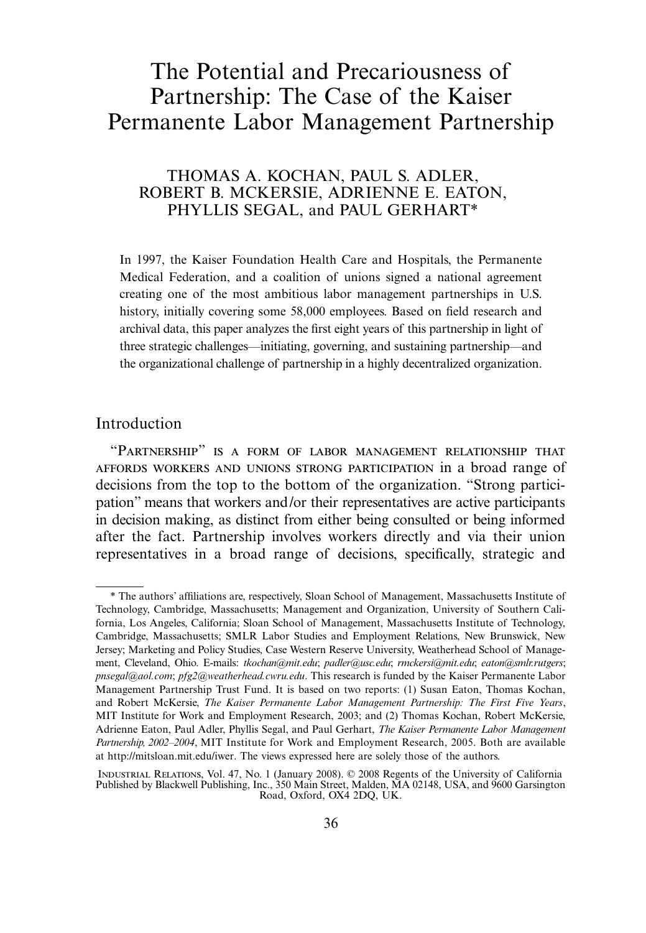# The Potential and Precariousness of Partnership: The Case of the Kaiser Permanente Labor Management Partnership

# THOMAS A. KOCHAN, PAUL S. ADLER, ROBERT B. MCKERSIE, ADRIENNE E. EATON, PHYLLIS SEGAL, and PAUL GERHART\*

In 1997, the Kaiser Foundation Health Care and Hospitals, the Permanente Medical Federation, and a coalition of unions signed a national agreement creating one of the most ambitious labor management partnerships in U.S. history, initially covering some 58,000 employees. Based on field research and archival data, this paper analyzes the first eight years of this partnership in light of three strategic challenges—initiating, governing, and sustaining partnership—and the organizational challenge of partnership in a highly decentralized organization.

## Introduction

"Partnership" is a form of labor management relationship that affords workers and unions strong participation in a broad range of decisions from the top to the bottom of the organization. "Strong participation" means that workers and/or their representatives are active participants in decision making, as distinct from either being consulted or being informed after the fact. Partnership involves workers directly and via their union representatives in a broad range of decisions, specifically, strategic and

<sup>\*</sup> The authors' affiliations are, respectively, Sloan School of Management, Massachusetts Institute of Technology, Cambridge, Massachusetts; Management and Organization, University of Southern California, Los Angeles, California; Sloan School of Management, Massachusetts Institute of Technology, Cambridge, Massachusetts; SMLR Labor Studies and Employment Relations, New Brunswick, New Jersey; Marketing and Policy Studies, Case Western Reserve University, Weatherhead School of Management, Cleveland, Ohio. E-mails: *tkochan@mit.edu*; *padler@usc.edu*; *rmckersi@mit.edu*; *eaton@smlr.rutgers*; *pnsegal@aol.com*; *pfg2@weatherhead.cwru.edu*. This research is funded by the Kaiser Permanente Labor Management Partnership Trust Fund. It is based on two reports: (1) Susan Eaton, Thomas Kochan, and Robert McKersie, *The Kaiser Permanente Labor Management Partnership: The First Five Years*, MIT Institute for Work and Employment Research, 2003; and (2) Thomas Kochan, Robert McKersie, Adrienne Eaton, Paul Adler, Phyllis Segal, and Paul Gerhart, *The Kaiser Permanente Labor Management Partnership, 2002–2004*, MIT Institute for Work and Employment Research, 2005. Both are available at http://mitsloan.mit.edu/iwer. The views expressed here are solely those of the authors.

Industrial Relations, Vol. 47, No. 1 (January 2008). © 2008 Regents of the University of California Published by Blackwell Publishing, Inc., 350 Main Street, Malden, MA 02148, USA, and 9600 Garsington Road, Oxford, OX4 2DQ, UK.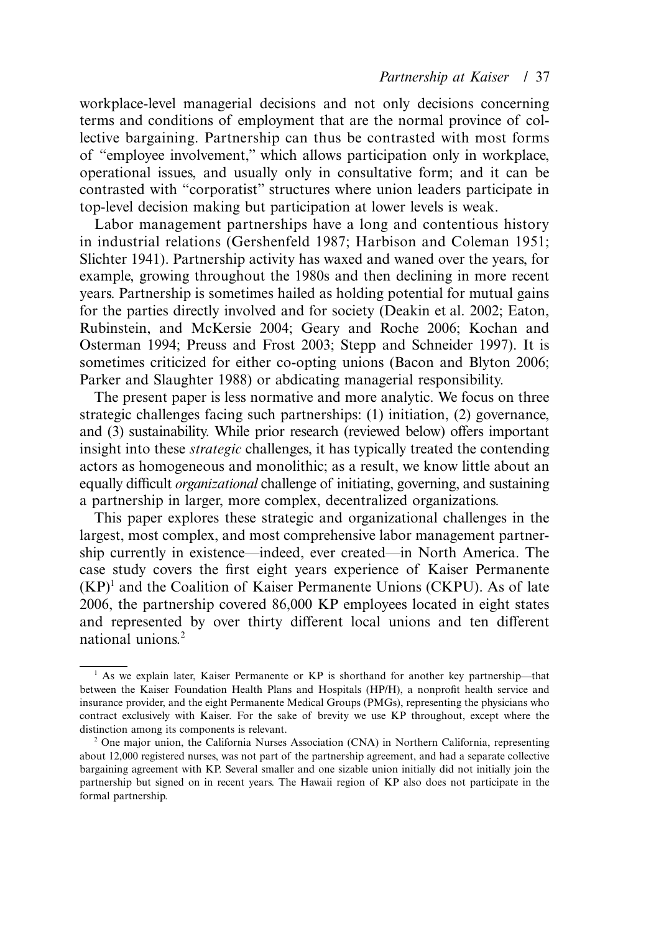workplace-level managerial decisions and not only decisions concerning terms and conditions of employment that are the normal province of collective bargaining. Partnership can thus be contrasted with most forms of "employee involvement," which allows participation only in workplace, operational issues, and usually only in consultative form; and it can be contrasted with "corporatist" structures where union leaders participate in top-level decision making but participation at lower levels is weak.

Labor management partnerships have a long and contentious history in industrial relations (Gershenfeld 1987; Harbison and Coleman 1951; Slichter 1941). Partnership activity has waxed and waned over the years, for example, growing throughout the 1980s and then declining in more recent years. Partnership is sometimes hailed as holding potential for mutual gains for the parties directly involved and for society (Deakin et al. 2002; Eaton, Rubinstein, and McKersie 2004; Geary and Roche 2006; Kochan and Osterman 1994; Preuss and Frost 2003; Stepp and Schneider 1997). It is sometimes criticized for either co-opting unions (Bacon and Blyton 2006; Parker and Slaughter 1988) or abdicating managerial responsibility.

The present paper is less normative and more analytic. We focus on three strategic challenges facing such partnerships: (1) initiation, (2) governance, and (3) sustainability. While prior research (reviewed below) offers important insight into these *strategic* challenges, it has typically treated the contending actors as homogeneous and monolithic; as a result, we know little about an equally difficult *organizational* challenge of initiating, governing, and sustaining a partnership in larger, more complex, decentralized organizations.

This paper explores these strategic and organizational challenges in the largest, most complex, and most comprehensive labor management partnership currently in existence—indeed, ever created—in North America. The case study covers the first eight years experience of Kaiser Permanente  $(KP)^1$  and the Coalition of Kaiser Permanente Unions (CKPU). As of late 2006, the partnership covered 86,000 KP employees located in eight states and represented by over thirty different local unions and ten different national unions.2

<sup>&</sup>lt;sup>1</sup> As we explain later, Kaiser Permanente or KP is shorthand for another key partnership—that between the Kaiser Foundation Health Plans and Hospitals (HP/H), a nonprofit health service and insurance provider, and the eight Permanente Medical Groups (PMGs), representing the physicians who contract exclusively with Kaiser. For the sake of brevity we use KP throughout, except where the distinction among its components is relevant.

<sup>&</sup>lt;sup>2</sup> One major union, the California Nurses Association (CNA) in Northern California, representing about 12,000 registered nurses, was not part of the partnership agreement, and had a separate collective bargaining agreement with KP. Several smaller and one sizable union initially did not initially join the partnership but signed on in recent years. The Hawaii region of KP also does not participate in the formal partnership.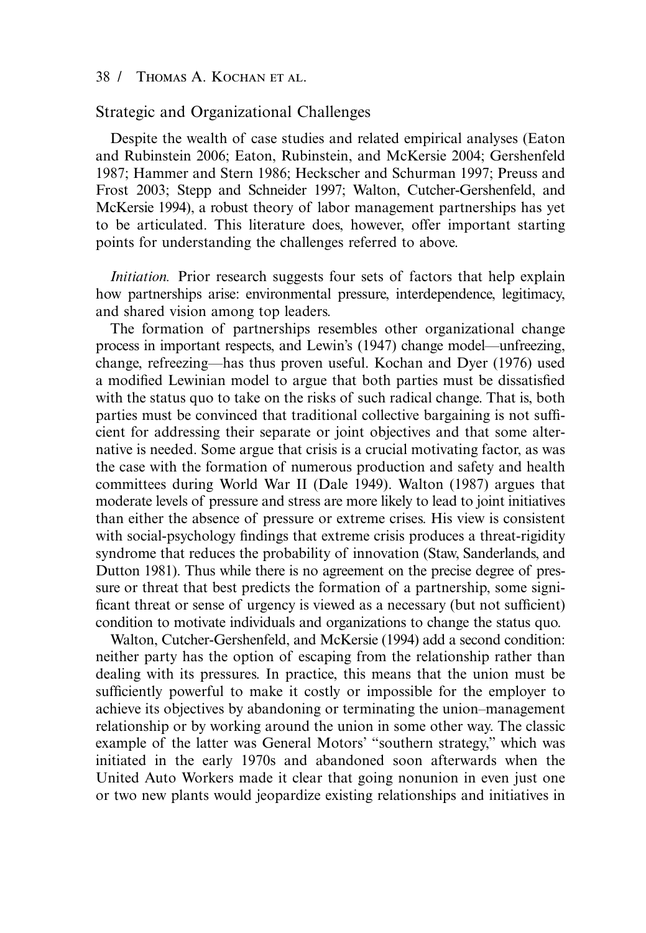# Strategic and Organizational Challenges

Despite the wealth of case studies and related empirical analyses (Eaton and Rubinstein 2006; Eaton, Rubinstein, and McKersie 2004; Gershenfeld 1987; Hammer and Stern 1986; Heckscher and Schurman 1997; Preuss and Frost 2003; Stepp and Schneider 1997; Walton, Cutcher-Gershenfeld, and McKersie 1994), a robust theory of labor management partnerships has yet to be articulated. This literature does, however, offer important starting points for understanding the challenges referred to above.

*Initiation.* Prior research suggests four sets of factors that help explain how partnerships arise: environmental pressure, interdependence, legitimacy, and shared vision among top leaders.

The formation of partnerships resembles other organizational change process in important respects, and Lewin's (1947) change model—unfreezing, change, refreezing—has thus proven useful. Kochan and Dyer (1976) used a modified Lewinian model to argue that both parties must be dissatisfied with the status quo to take on the risks of such radical change. That is, both parties must be convinced that traditional collective bargaining is not sufficient for addressing their separate or joint objectives and that some alternative is needed. Some argue that crisis is a crucial motivating factor, as was the case with the formation of numerous production and safety and health committees during World War II (Dale 1949). Walton (1987) argues that moderate levels of pressure and stress are more likely to lead to joint initiatives than either the absence of pressure or extreme crises. His view is consistent with social-psychology findings that extreme crisis produces a threat-rigidity syndrome that reduces the probability of innovation (Staw, Sanderlands, and Dutton 1981). Thus while there is no agreement on the precise degree of pressure or threat that best predicts the formation of a partnership, some significant threat or sense of urgency is viewed as a necessary (but not sufficient) condition to motivate individuals and organizations to change the status quo.

Walton, Cutcher-Gershenfeld, and McKersie (1994) add a second condition: neither party has the option of escaping from the relationship rather than dealing with its pressures. In practice, this means that the union must be sufficiently powerful to make it costly or impossible for the employer to achieve its objectives by abandoning or terminating the union–management relationship or by working around the union in some other way. The classic example of the latter was General Motors' "southern strategy," which was initiated in the early 1970s and abandoned soon afterwards when the United Auto Workers made it clear that going nonunion in even just one or two new plants would jeopardize existing relationships and initiatives in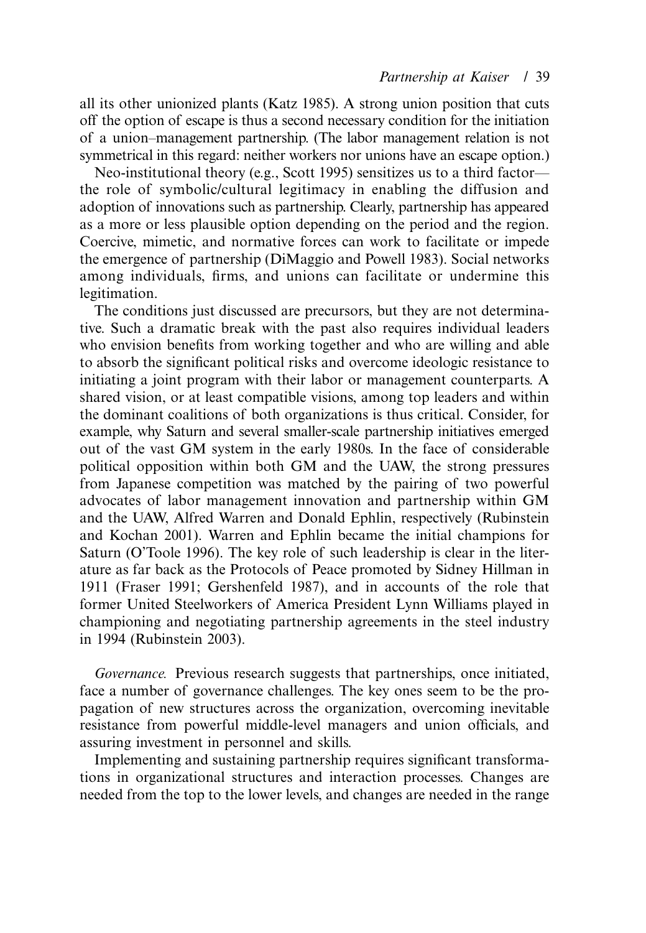all its other unionized plants (Katz 1985). A strong union position that cuts off the option of escape is thus a second necessary condition for the initiation of a union–management partnership. (The labor management relation is not symmetrical in this regard: neither workers nor unions have an escape option.)

Neo-institutional theory (e.g., Scott 1995) sensitizes us to a third factor the role of symbolic/cultural legitimacy in enabling the diffusion and adoption of innovations such as partnership. Clearly, partnership has appeared as a more or less plausible option depending on the period and the region. Coercive, mimetic, and normative forces can work to facilitate or impede the emergence of partnership (DiMaggio and Powell 1983). Social networks among individuals, firms, and unions can facilitate or undermine this legitimation.

The conditions just discussed are precursors, but they are not determinative. Such a dramatic break with the past also requires individual leaders who envision benefits from working together and who are willing and able to absorb the significant political risks and overcome ideologic resistance to initiating a joint program with their labor or management counterparts. A shared vision, or at least compatible visions, among top leaders and within the dominant coalitions of both organizations is thus critical. Consider, for example, why Saturn and several smaller-scale partnership initiatives emerged out of the vast GM system in the early 1980s. In the face of considerable political opposition within both GM and the UAW, the strong pressures from Japanese competition was matched by the pairing of two powerful advocates of labor management innovation and partnership within GM and the UAW, Alfred Warren and Donald Ephlin, respectively (Rubinstein and Kochan 2001). Warren and Ephlin became the initial champions for Saturn (O'Toole 1996). The key role of such leadership is clear in the literature as far back as the Protocols of Peace promoted by Sidney Hillman in 1911 (Fraser 1991; Gershenfeld 1987), and in accounts of the role that former United Steelworkers of America President Lynn Williams played in championing and negotiating partnership agreements in the steel industry in 1994 (Rubinstein 2003).

*Governance.* Previous research suggests that partnerships, once initiated, face a number of governance challenges. The key ones seem to be the propagation of new structures across the organization, overcoming inevitable resistance from powerful middle-level managers and union officials, and assuring investment in personnel and skills.

Implementing and sustaining partnership requires significant transformations in organizational structures and interaction processes. Changes are needed from the top to the lower levels, and changes are needed in the range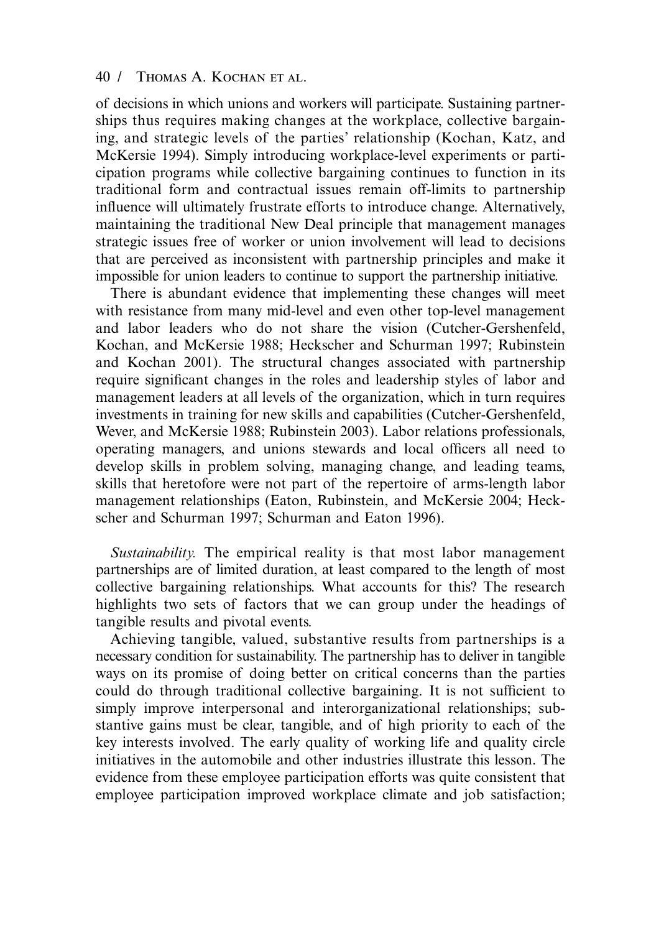of decisions in which unions and workers will participate. Sustaining partnerships thus requires making changes at the workplace, collective bargaining, and strategic levels of the parties' relationship (Kochan, Katz, and McKersie 1994). Simply introducing workplace-level experiments or participation programs while collective bargaining continues to function in its traditional form and contractual issues remain off-limits to partnership influence will ultimately frustrate efforts to introduce change. Alternatively, maintaining the traditional New Deal principle that management manages strategic issues free of worker or union involvement will lead to decisions that are perceived as inconsistent with partnership principles and make it impossible for union leaders to continue to support the partnership initiative.

There is abundant evidence that implementing these changes will meet with resistance from many mid-level and even other top-level management and labor leaders who do not share the vision (Cutcher-Gershenfeld, Kochan, and McKersie 1988; Heckscher and Schurman 1997; Rubinstein and Kochan 2001). The structural changes associated with partnership require significant changes in the roles and leadership styles of labor and management leaders at all levels of the organization, which in turn requires investments in training for new skills and capabilities (Cutcher-Gershenfeld, Wever, and McKersie 1988; Rubinstein 2003). Labor relations professionals, operating managers, and unions stewards and local officers all need to develop skills in problem solving, managing change, and leading teams, skills that heretofore were not part of the repertoire of arms-length labor management relationships (Eaton, Rubinstein, and McKersie 2004; Heckscher and Schurman 1997; Schurman and Eaton 1996).

*Sustainability.* The empirical reality is that most labor management partnerships are of limited duration, at least compared to the length of most collective bargaining relationships. What accounts for this? The research highlights two sets of factors that we can group under the headings of tangible results and pivotal events.

Achieving tangible, valued, substantive results from partnerships is a necessary condition for sustainability. The partnership has to deliver in tangible ways on its promise of doing better on critical concerns than the parties could do through traditional collective bargaining. It is not sufficient to simply improve interpersonal and interorganizational relationships; substantive gains must be clear, tangible, and of high priority to each of the key interests involved. The early quality of working life and quality circle initiatives in the automobile and other industries illustrate this lesson. The evidence from these employee participation efforts was quite consistent that employee participation improved workplace climate and job satisfaction;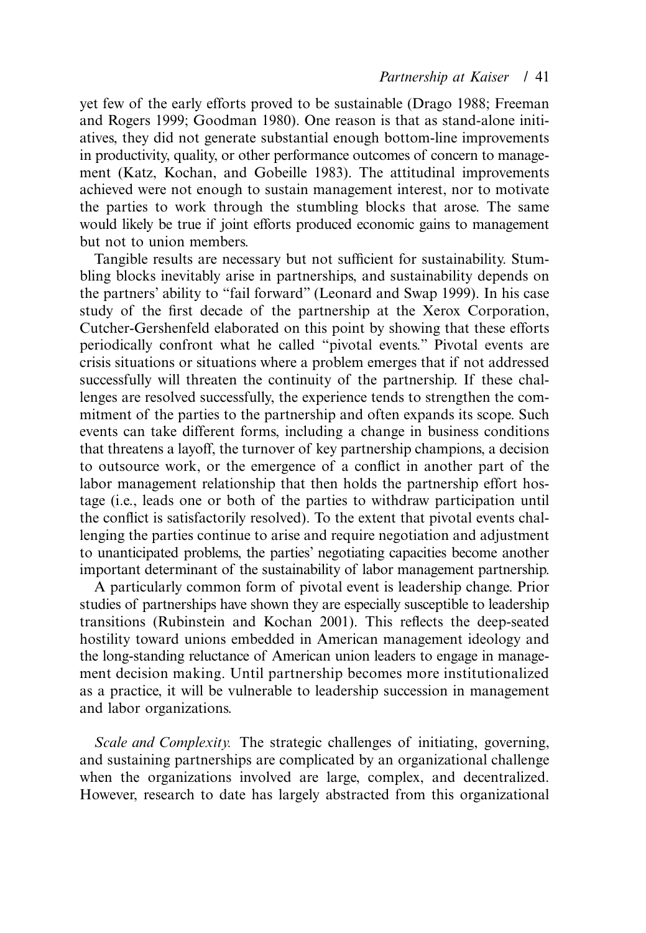yet few of the early efforts proved to be sustainable (Drago 1988; Freeman and Rogers 1999; Goodman 1980). One reason is that as stand-alone initiatives, they did not generate substantial enough bottom-line improvements in productivity, quality, or other performance outcomes of concern to management (Katz, Kochan, and Gobeille 1983). The attitudinal improvements achieved were not enough to sustain management interest, nor to motivate the parties to work through the stumbling blocks that arose. The same would likely be true if joint efforts produced economic gains to management but not to union members.

Tangible results are necessary but not sufficient for sustainability. Stumbling blocks inevitably arise in partnerships, and sustainability depends on the partners' ability to "fail forward" (Leonard and Swap 1999). In his case study of the first decade of the partnership at the Xerox Corporation, Cutcher-Gershenfeld elaborated on this point by showing that these efforts periodically confront what he called "pivotal events." Pivotal events are crisis situations or situations where a problem emerges that if not addressed successfully will threaten the continuity of the partnership. If these challenges are resolved successfully, the experience tends to strengthen the commitment of the parties to the partnership and often expands its scope. Such events can take different forms, including a change in business conditions that threatens a layoff, the turnover of key partnership champions, a decision to outsource work, or the emergence of a conflict in another part of the labor management relationship that then holds the partnership effort hostage (i.e., leads one or both of the parties to withdraw participation until the conflict is satisfactorily resolved). To the extent that pivotal events challenging the parties continue to arise and require negotiation and adjustment to unanticipated problems, the parties' negotiating capacities become another important determinant of the sustainability of labor management partnership.

A particularly common form of pivotal event is leadership change. Prior studies of partnerships have shown they are especially susceptible to leadership transitions (Rubinstein and Kochan 2001). This reflects the deep-seated hostility toward unions embedded in American management ideology and the long-standing reluctance of American union leaders to engage in management decision making. Until partnership becomes more institutionalized as a practice, it will be vulnerable to leadership succession in management and labor organizations.

*Scale and Complexity.* The strategic challenges of initiating, governing, and sustaining partnerships are complicated by an organizational challenge when the organizations involved are large, complex, and decentralized. However, research to date has largely abstracted from this organizational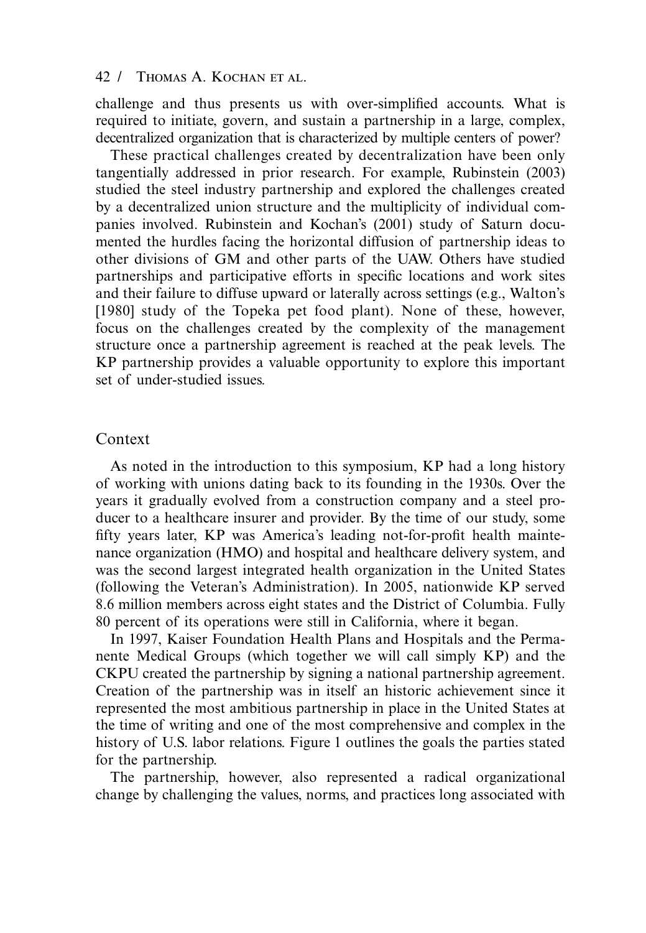challenge and thus presents us with over-simplified accounts. What is required to initiate, govern, and sustain a partnership in a large, complex, decentralized organization that is characterized by multiple centers of power?

These practical challenges created by decentralization have been only tangentially addressed in prior research. For example, Rubinstein (2003) studied the steel industry partnership and explored the challenges created by a decentralized union structure and the multiplicity of individual companies involved. Rubinstein and Kochan's (2001) study of Saturn documented the hurdles facing the horizontal diffusion of partnership ideas to other divisions of GM and other parts of the UAW. Others have studied partnerships and participative efforts in specific locations and work sites and their failure to diffuse upward or laterally across settings (e.g., Walton's [1980] study of the Topeka pet food plant). None of these, however, focus on the challenges created by the complexity of the management structure once a partnership agreement is reached at the peak levels. The KP partnership provides a valuable opportunity to explore this important set of under-studied issues.

#### Context

As noted in the introduction to this symposium, KP had a long history of working with unions dating back to its founding in the 1930s. Over the years it gradually evolved from a construction company and a steel producer to a healthcare insurer and provider. By the time of our study, some fifty years later, KP was America's leading not-for-profit health maintenance organization (HMO) and hospital and healthcare delivery system, and was the second largest integrated health organization in the United States (following the Veteran's Administration). In 2005, nationwide KP served 8.6 million members across eight states and the District of Columbia. Fully 80 percent of its operations were still in California, where it began.

In 1997, Kaiser Foundation Health Plans and Hospitals and the Permanente Medical Groups (which together we will call simply KP) and the CKPU created the partnership by signing a national partnership agreement. Creation of the partnership was in itself an historic achievement since it represented the most ambitious partnership in place in the United States at the time of writing and one of the most comprehensive and complex in the history of U.S. labor relations. Figure 1 outlines the goals the parties stated for the partnership.

The partnership, however, also represented a radical organizational change by challenging the values, norms, and practices long associated with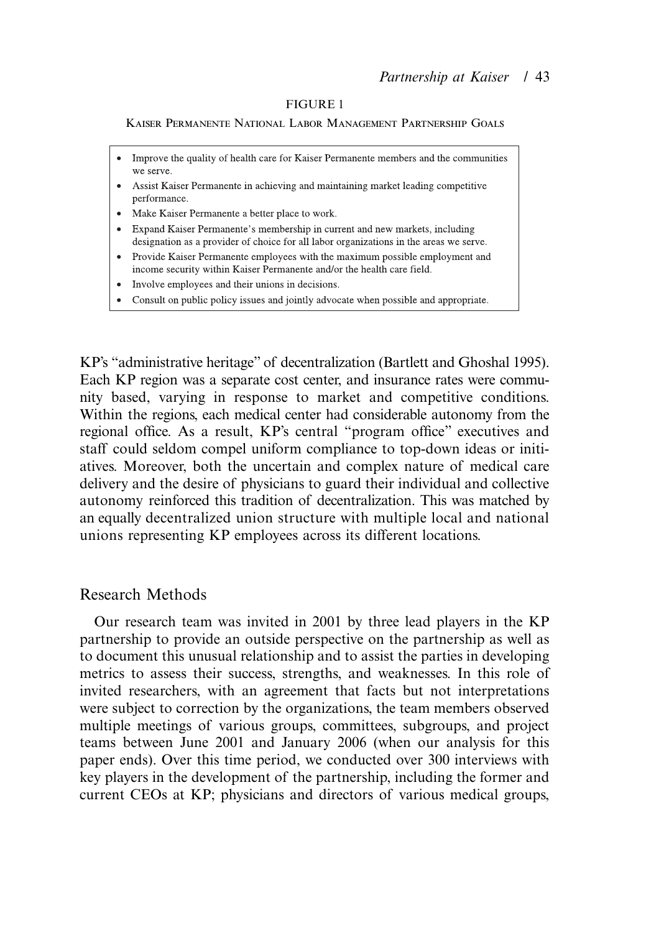#### FIGURE 1

Kaiser Permanente National Labor Management Partnership Goals

- Improve the quality of health care for Kaiser Permanente members and the communities we serve
- Assist Kaiser Permanente in achieving and maintaining market leading competitive performance.
- Make Kaiser Permanente a better place to work.
- Expand Kaiser Permanente's membership in current and new markets, including designation as a provider of choice for all labor organizations in the areas we serve.
- Provide Kaiser Permanente employees with the maximum possible employment and income security within Kaiser Permanente and/or the health care field.
- Involve employees and their unions in decisions.  $\bullet$
- Consult on public policy issues and jointly advocate when possible and appropriate.

KP's "administrative heritage" of decentralization (Bartlett and Ghoshal 1995). Each KP region was a separate cost center, and insurance rates were community based, varying in response to market and competitive conditions. Within the regions, each medical center had considerable autonomy from the regional office. As a result, KP's central "program office" executives and staff could seldom compel uniform compliance to top-down ideas or initiatives. Moreover, both the uncertain and complex nature of medical care delivery and the desire of physicians to guard their individual and collective autonomy reinforced this tradition of decentralization. This was matched by an equally decentralized union structure with multiple local and national unions representing KP employees across its different locations.

## Research Methods

Our research team was invited in 2001 by three lead players in the KP partnership to provide an outside perspective on the partnership as well as to document this unusual relationship and to assist the parties in developing metrics to assess their success, strengths, and weaknesses. In this role of invited researchers, with an agreement that facts but not interpretations were subject to correction by the organizations, the team members observed multiple meetings of various groups, committees, subgroups, and project teams between June 2001 and January 2006 (when our analysis for this paper ends). Over this time period, we conducted over 300 interviews with key players in the development of the partnership, including the former and current CEOs at KP; physicians and directors of various medical groups,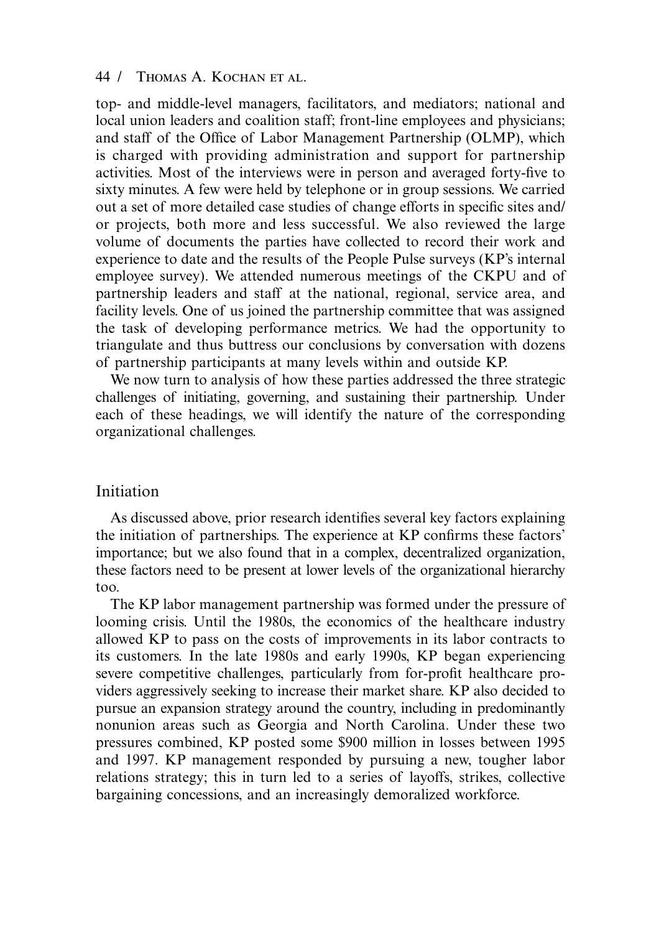top- and middle-level managers, facilitators, and mediators; national and local union leaders and coalition staff; front-line employees and physicians; and staff of the Office of Labor Management Partnership (OLMP), which is charged with providing administration and support for partnership activities. Most of the interviews were in person and averaged forty-five to sixty minutes. A few were held by telephone or in group sessions. We carried out a set of more detailed case studies of change efforts in specific sites and/ or projects, both more and less successful. We also reviewed the large volume of documents the parties have collected to record their work and experience to date and the results of the People Pulse surveys (KP's internal employee survey). We attended numerous meetings of the CKPU and of partnership leaders and staff at the national, regional, service area, and facility levels. One of us joined the partnership committee that was assigned the task of developing performance metrics. We had the opportunity to triangulate and thus buttress our conclusions by conversation with dozens of partnership participants at many levels within and outside KP.

We now turn to analysis of how these parties addressed the three strategic challenges of initiating, governing, and sustaining their partnership. Under each of these headings, we will identify the nature of the corresponding organizational challenges.

## Initiation

As discussed above, prior research identifies several key factors explaining the initiation of partnerships. The experience at KP confirms these factors' importance; but we also found that in a complex, decentralized organization, these factors need to be present at lower levels of the organizational hierarchy too.

The KP labor management partnership was formed under the pressure of looming crisis. Until the 1980s, the economics of the healthcare industry allowed KP to pass on the costs of improvements in its labor contracts to its customers. In the late 1980s and early 1990s, KP began experiencing severe competitive challenges, particularly from for-profit healthcare providers aggressively seeking to increase their market share. KP also decided to pursue an expansion strategy around the country, including in predominantly nonunion areas such as Georgia and North Carolina. Under these two pressures combined, KP posted some \$900 million in losses between 1995 and 1997. KP management responded by pursuing a new, tougher labor relations strategy; this in turn led to a series of layoffs, strikes, collective bargaining concessions, and an increasingly demoralized workforce.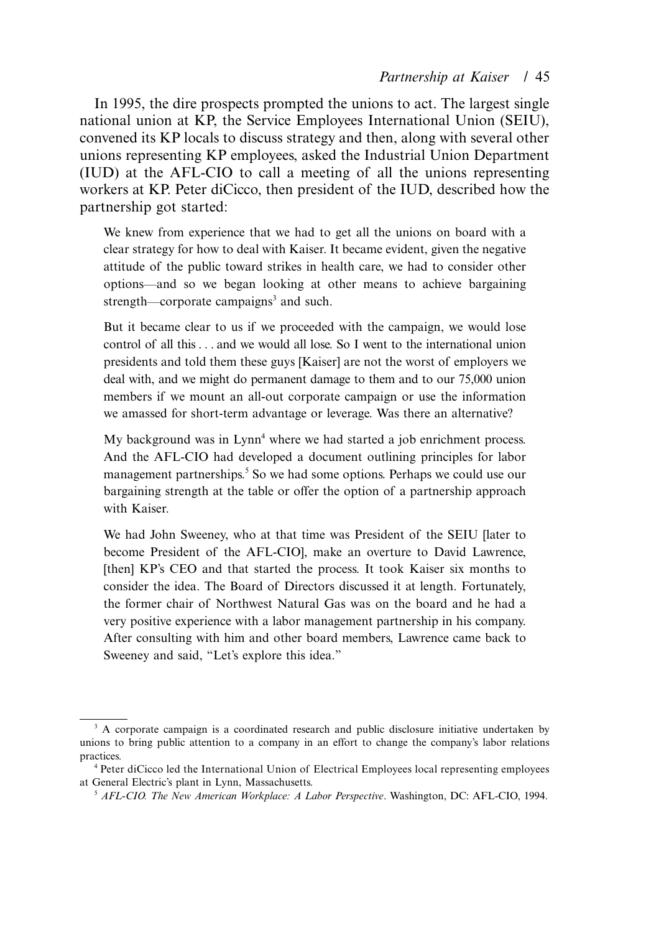In 1995, the dire prospects prompted the unions to act. The largest single national union at KP, the Service Employees International Union (SEIU), convened its KP locals to discuss strategy and then, along with several other unions representing KP employees, asked the Industrial Union Department (IUD) at the AFL-CIO to call a meeting of all the unions representing workers at KP. Peter diCicco, then president of the IUD, described how the partnership got started:

We knew from experience that we had to get all the unions on board with a clear strategy for how to deal with Kaiser. It became evident, given the negative attitude of the public toward strikes in health care, we had to consider other options—and so we began looking at other means to achieve bargaining strength—corporate campaigns<sup>3</sup> and such.

But it became clear to us if we proceeded with the campaign, we would lose control of all this . . . and we would all lose. So I went to the international union presidents and told them these guys [Kaiser] are not the worst of employers we deal with, and we might do permanent damage to them and to our 75,000 union members if we mount an all-out corporate campaign or use the information we amassed for short-term advantage or leverage. Was there an alternative?

My background was in  $Lynn<sup>4</sup>$  where we had started a job enrichment process. And the AFL-CIO had developed a document outlining principles for labor management partnerships.<sup>5</sup> So we had some options. Perhaps we could use our bargaining strength at the table or offer the option of a partnership approach with Kaiser.

We had John Sweeney, who at that time was President of the SEIU [later to become President of the AFL-CIO], make an overture to David Lawrence, [then] KP's CEO and that started the process. It took Kaiser six months to consider the idea. The Board of Directors discussed it at length. Fortunately, the former chair of Northwest Natural Gas was on the board and he had a very positive experience with a labor management partnership in his company. After consulting with him and other board members, Lawrence came back to Sweeney and said, "Let's explore this idea."

<sup>&</sup>lt;sup>3</sup> A corporate campaign is a coordinated research and public disclosure initiative undertaken by unions to bring public attention to a company in an effort to change the company's labor relations practices.

<sup>4</sup> Peter diCicco led the International Union of Electrical Employees local representing employees at General Electric's plant in Lynn, Massachusetts.

<sup>5</sup> *AFL*-*CIO. The New American Workplace: A Labor Perspective*. Washington, DC: AFL-CIO, 1994.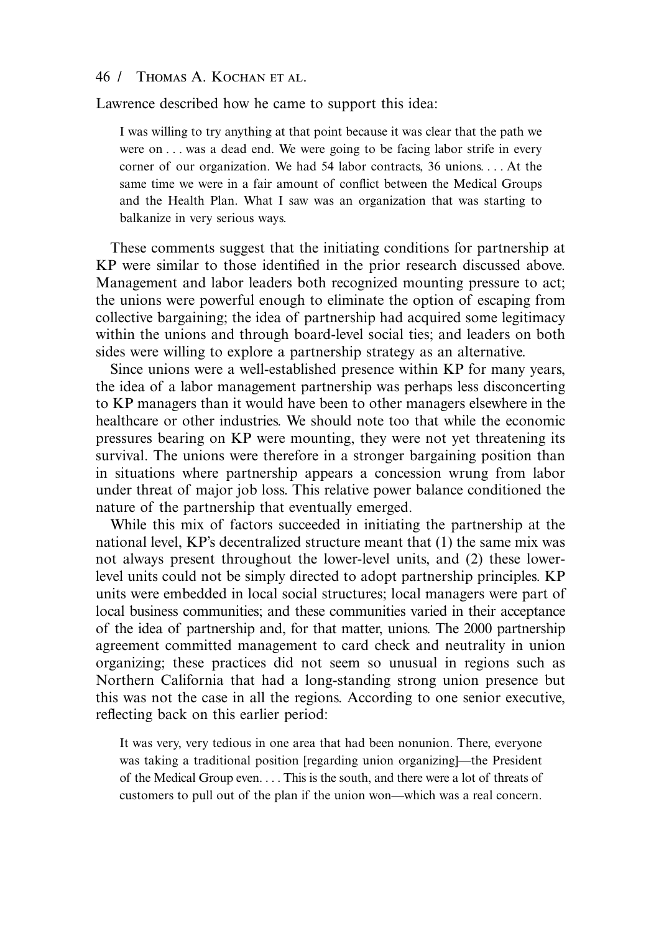Lawrence described how he came to support this idea:

I was willing to try anything at that point because it was clear that the path we were on . . . was a dead end. We were going to be facing labor strife in every corner of our organization. We had 54 labor contracts, 36 unions. . . . At the same time we were in a fair amount of conflict between the Medical Groups and the Health Plan. What I saw was an organization that was starting to balkanize in very serious ways.

These comments suggest that the initiating conditions for partnership at KP were similar to those identified in the prior research discussed above. Management and labor leaders both recognized mounting pressure to act; the unions were powerful enough to eliminate the option of escaping from collective bargaining; the idea of partnership had acquired some legitimacy within the unions and through board-level social ties; and leaders on both sides were willing to explore a partnership strategy as an alternative.

Since unions were a well-established presence within KP for many years, the idea of a labor management partnership was perhaps less disconcerting to KP managers than it would have been to other managers elsewhere in the healthcare or other industries. We should note too that while the economic pressures bearing on KP were mounting, they were not yet threatening its survival. The unions were therefore in a stronger bargaining position than in situations where partnership appears a concession wrung from labor under threat of major job loss. This relative power balance conditioned the nature of the partnership that eventually emerged.

While this mix of factors succeeded in initiating the partnership at the national level, KP's decentralized structure meant that (1) the same mix was not always present throughout the lower-level units, and (2) these lowerlevel units could not be simply directed to adopt partnership principles. KP units were embedded in local social structures; local managers were part of local business communities; and these communities varied in their acceptance of the idea of partnership and, for that matter, unions. The 2000 partnership agreement committed management to card check and neutrality in union organizing; these practices did not seem so unusual in regions such as Northern California that had a long-standing strong union presence but this was not the case in all the regions. According to one senior executive, reflecting back on this earlier period:

It was very, very tedious in one area that had been nonunion. There, everyone was taking a traditional position [regarding union organizing]—the President of the Medical Group even. . . . This is the south, and there were a lot of threats of customers to pull out of the plan if the union won—which was a real concern.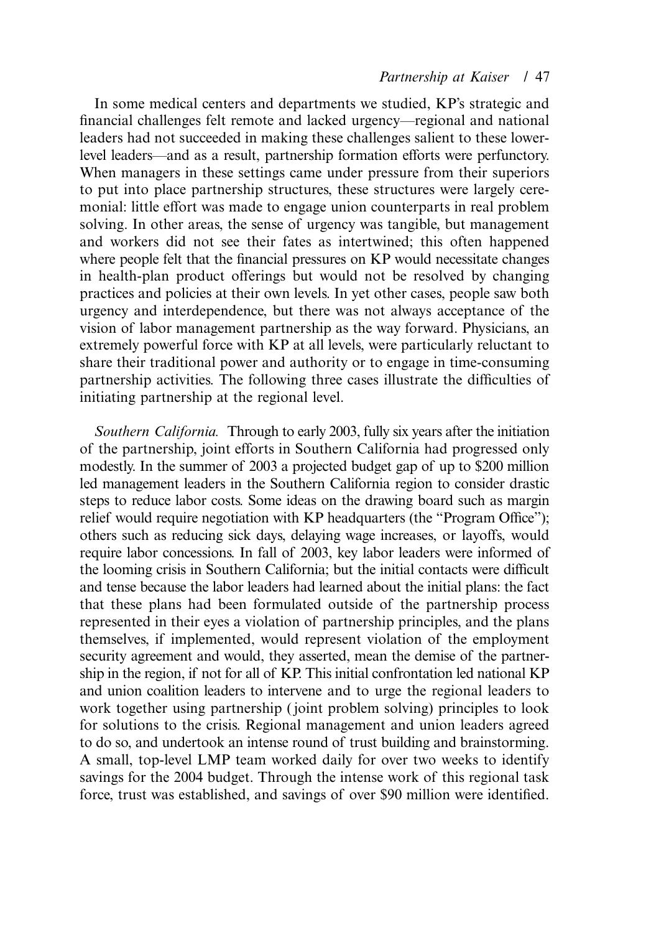#### *Partnership at Kaiser* / 47

In some medical centers and departments we studied, KP's strategic and financial challenges felt remote and lacked urgency—regional and national leaders had not succeeded in making these challenges salient to these lowerlevel leaders—and as a result, partnership formation efforts were perfunctory. When managers in these settings came under pressure from their superiors to put into place partnership structures, these structures were largely ceremonial: little effort was made to engage union counterparts in real problem solving. In other areas, the sense of urgency was tangible, but management and workers did not see their fates as intertwined; this often happened where people felt that the financial pressures on KP would necessitate changes in health-plan product offerings but would not be resolved by changing practices and policies at their own levels. In yet other cases, people saw both urgency and interdependence, but there was not always acceptance of the vision of labor management partnership as the way forward. Physicians, an extremely powerful force with KP at all levels, were particularly reluctant to share their traditional power and authority or to engage in time-consuming partnership activities. The following three cases illustrate the difficulties of initiating partnership at the regional level.

*Southern California.* Through to early 2003, fully six years after the initiation of the partnership, joint efforts in Southern California had progressed only modestly. In the summer of 2003 a projected budget gap of up to \$200 million led management leaders in the Southern California region to consider drastic steps to reduce labor costs. Some ideas on the drawing board such as margin relief would require negotiation with KP headquarters (the "Program Office"); others such as reducing sick days, delaying wage increases, or layoffs, would require labor concessions. In fall of 2003, key labor leaders were informed of the looming crisis in Southern California; but the initial contacts were difficult and tense because the labor leaders had learned about the initial plans: the fact that these plans had been formulated outside of the partnership process represented in their eyes a violation of partnership principles, and the plans themselves, if implemented, would represent violation of the employment security agreement and would, they asserted, mean the demise of the partnership in the region, if not for all of KP. This initial confrontation led national KP and union coalition leaders to intervene and to urge the regional leaders to work together using partnership ( joint problem solving) principles to look for solutions to the crisis. Regional management and union leaders agreed to do so, and undertook an intense round of trust building and brainstorming. A small, top-level LMP team worked daily for over two weeks to identify savings for the 2004 budget. Through the intense work of this regional task force, trust was established, and savings of over \$90 million were identified.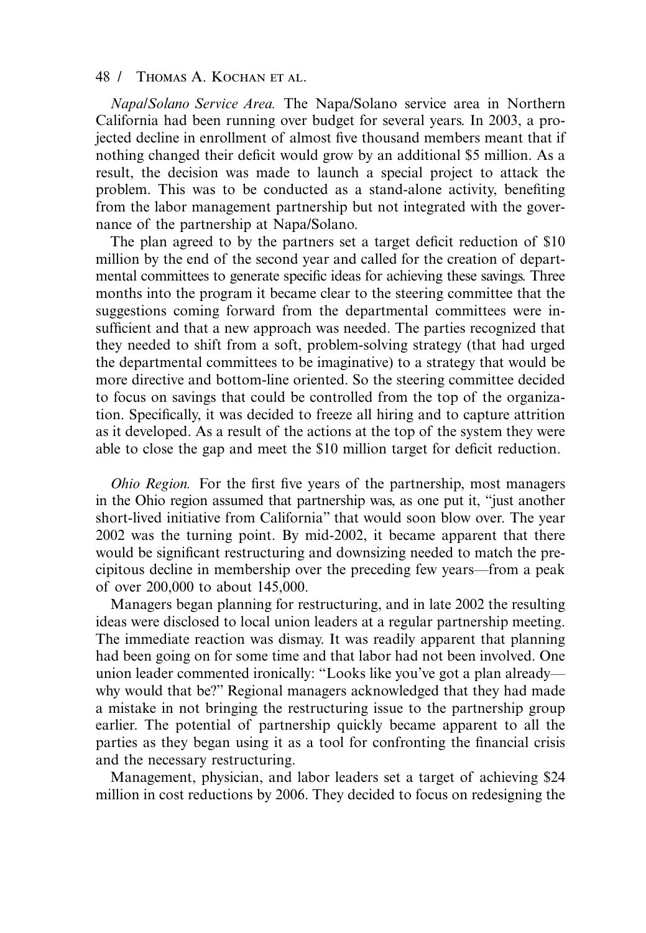*Napa/Solano Service Area.* The Napa/Solano service area in Northern California had been running over budget for several years. In 2003, a projected decline in enrollment of almost five thousand members meant that if nothing changed their deficit would grow by an additional \$5 million. As a result, the decision was made to launch a special project to attack the problem. This was to be conducted as a stand-alone activity, benefiting from the labor management partnership but not integrated with the governance of the partnership at Napa/Solano.

The plan agreed to by the partners set a target deficit reduction of \$10 million by the end of the second year and called for the creation of departmental committees to generate specific ideas for achieving these savings. Three months into the program it became clear to the steering committee that the suggestions coming forward from the departmental committees were insufficient and that a new approach was needed. The parties recognized that they needed to shift from a soft, problem-solving strategy (that had urged the departmental committees to be imaginative) to a strategy that would be more directive and bottom-line oriented. So the steering committee decided to focus on savings that could be controlled from the top of the organization. Specifically, it was decided to freeze all hiring and to capture attrition as it developed. As a result of the actions at the top of the system they were able to close the gap and meet the \$10 million target for deficit reduction.

*Ohio Region.* For the first five years of the partnership, most managers in the Ohio region assumed that partnership was, as one put it, "just another short-lived initiative from California" that would soon blow over. The year 2002 was the turning point. By mid-2002, it became apparent that there would be significant restructuring and downsizing needed to match the precipitous decline in membership over the preceding few years—from a peak of over 200,000 to about 145,000.

Managers began planning for restructuring, and in late 2002 the resulting ideas were disclosed to local union leaders at a regular partnership meeting. The immediate reaction was dismay. It was readily apparent that planning had been going on for some time and that labor had not been involved. One union leader commented ironically: "Looks like you've got a plan already why would that be?" Regional managers acknowledged that they had made a mistake in not bringing the restructuring issue to the partnership group earlier. The potential of partnership quickly became apparent to all the parties as they began using it as a tool for confronting the financial crisis and the necessary restructuring.

Management, physician, and labor leaders set a target of achieving \$24 million in cost reductions by 2006. They decided to focus on redesigning the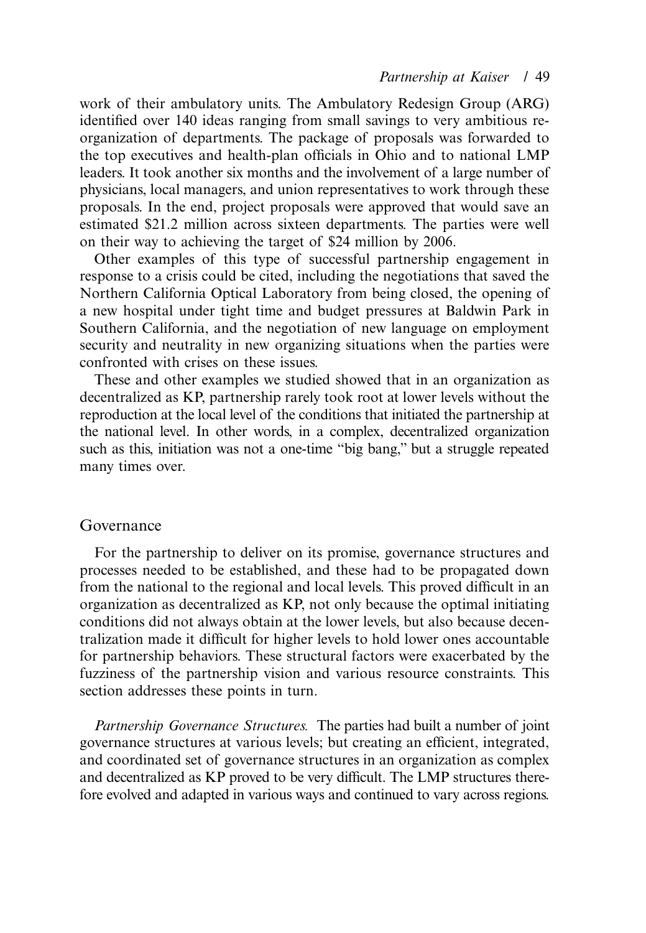work of their ambulatory units. The Ambulatory Redesign Group (ARG) identified over 140 ideas ranging from small savings to very ambitious reorganization of departments. The package of proposals was forwarded to the top executives and health-plan officials in Ohio and to national LMP leaders. It took another six months and the involvement of a large number of physicians, local managers, and union representatives to work through these proposals. In the end, project proposals were approved that would save an estimated \$21.2 million across sixteen departments. The parties were well on their way to achieving the target of \$24 million by 2006.

Other examples of this type of successful partnership engagement in response to a crisis could be cited, including the negotiations that saved the Northern California Optical Laboratory from being closed, the opening of a new hospital under tight time and budget pressures at Baldwin Park in Southern California, and the negotiation of new language on employment security and neutrality in new organizing situations when the parties were confronted with crises on these issues.

These and other examples we studied showed that in an organization as decentralized as KP, partnership rarely took root at lower levels without the reproduction at the local level of the conditions that initiated the partnership at the national level. In other words, in a complex, decentralized organization such as this, initiation was not a one-time "big bang," but a struggle repeated many times over.

## Governance

For the partnership to deliver on its promise, governance structures and processes needed to be established, and these had to be propagated down from the national to the regional and local levels. This proved difficult in an organization as decentralized as KP, not only because the optimal initiating conditions did not always obtain at the lower levels, but also because decentralization made it difficult for higher levels to hold lower ones accountable for partnership behaviors. These structural factors were exacerbated by the fuzziness of the partnership vision and various resource constraints. This section addresses these points in turn.

*Partnership Governance Structures.* The parties had built a number of joint governance structures at various levels; but creating an efficient, integrated, and coordinated set of governance structures in an organization as complex and decentralized as KP proved to be very difficult. The LMP structures therefore evolved and adapted in various ways and continued to vary across regions.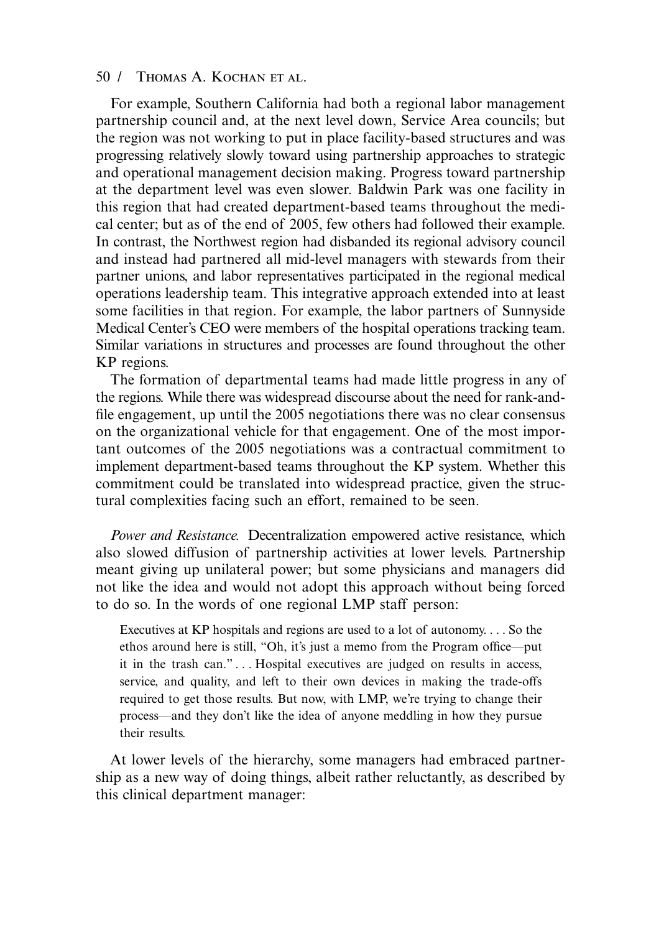For example, Southern California had both a regional labor management partnership council and, at the next level down, Service Area councils; but the region was not working to put in place facility-based structures and was progressing relatively slowly toward using partnership approaches to strategic and operational management decision making. Progress toward partnership at the department level was even slower. Baldwin Park was one facility in this region that had created department-based teams throughout the medical center; but as of the end of 2005, few others had followed their example. In contrast, the Northwest region had disbanded its regional advisory council and instead had partnered all mid-level managers with stewards from their partner unions, and labor representatives participated in the regional medical operations leadership team. This integrative approach extended into at least some facilities in that region. For example, the labor partners of Sunnyside Medical Center's CEO were members of the hospital operations tracking team. Similar variations in structures and processes are found throughout the other KP regions.

The formation of departmental teams had made little progress in any of the regions. While there was widespread discourse about the need for rank-andfile engagement, up until the 2005 negotiations there was no clear consensus on the organizational vehicle for that engagement. One of the most important outcomes of the 2005 negotiations was a contractual commitment to implement department-based teams throughout the KP system. Whether this commitment could be translated into widespread practice, given the structural complexities facing such an effort, remained to be seen.

*Power and Resistance.* Decentralization empowered active resistance, which also slowed diffusion of partnership activities at lower levels. Partnership meant giving up unilateral power; but some physicians and managers did not like the idea and would not adopt this approach without being forced to do so. In the words of one regional LMP staff person:

Executives at KP hospitals and regions are used to a lot of autonomy. . . . So the ethos around here is still, "Oh, it's just a memo from the Program office—put it in the trash can." . . . Hospital executives are judged on results in access, service, and quality, and left to their own devices in making the trade-offs required to get those results. But now, with LMP, we're trying to change their process—and they don't like the idea of anyone meddling in how they pursue their results.

At lower levels of the hierarchy, some managers had embraced partnership as a new way of doing things, albeit rather reluctantly, as described by this clinical department manager: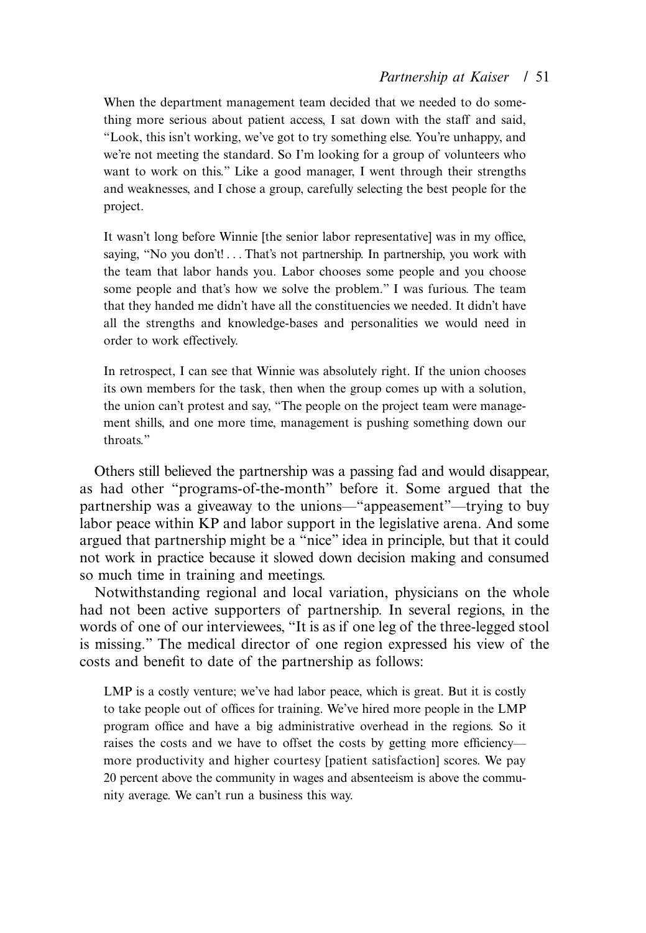## *Partnership at Kaiser* / 51

When the department management team decided that we needed to do something more serious about patient access, I sat down with the staff and said, "Look, this isn't working, we've got to try something else. You're unhappy, and we're not meeting the standard. So I'm looking for a group of volunteers who want to work on this." Like a good manager, I went through their strengths and weaknesses, and I chose a group, carefully selecting the best people for the project.

It wasn't long before Winnie [the senior labor representative] was in my office, saying, "No you don't! . . . That's not partnership. In partnership, you work with the team that labor hands you. Labor chooses some people and you choose some people and that's how we solve the problem." I was furious. The team that they handed me didn't have all the constituencies we needed. It didn't have all the strengths and knowledge-bases and personalities we would need in order to work effectively.

In retrospect, I can see that Winnie was absolutely right. If the union chooses its own members for the task, then when the group comes up with a solution, the union can't protest and say, "The people on the project team were management shills, and one more time, management is pushing something down our throats."

Others still believed the partnership was a passing fad and would disappear, as had other "programs-of-the-month" before it. Some argued that the partnership was a giveaway to the unions—"appeasement"—trying to buy labor peace within KP and labor support in the legislative arena. And some argued that partnership might be a "nice" idea in principle, but that it could not work in practice because it slowed down decision making and consumed so much time in training and meetings.

Notwithstanding regional and local variation, physicians on the whole had not been active supporters of partnership. In several regions, in the words of one of our interviewees, "It is as if one leg of the three-legged stool is missing." The medical director of one region expressed his view of the costs and benefit to date of the partnership as follows:

LMP is a costly venture; we've had labor peace, which is great. But it is costly to take people out of offices for training. We've hired more people in the LMP program office and have a big administrative overhead in the regions. So it raises the costs and we have to offset the costs by getting more efficiency more productivity and higher courtesy [patient satisfaction] scores. We pay 20 percent above the community in wages and absenteeism is above the community average. We can't run a business this way.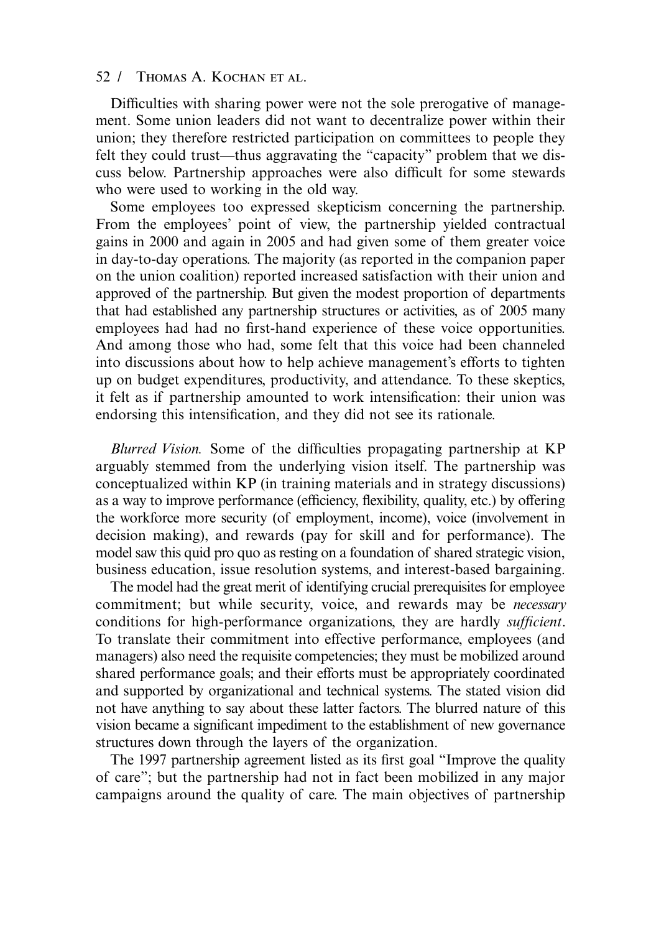Difficulties with sharing power were not the sole prerogative of management. Some union leaders did not want to decentralize power within their union; they therefore restricted participation on committees to people they felt they could trust—thus aggravating the "capacity" problem that we discuss below. Partnership approaches were also difficult for some stewards who were used to working in the old way.

Some employees too expressed skepticism concerning the partnership. From the employees' point of view, the partnership yielded contractual gains in 2000 and again in 2005 and had given some of them greater voice in day-to-day operations. The majority (as reported in the companion paper on the union coalition) reported increased satisfaction with their union and approved of the partnership. But given the modest proportion of departments that had established any partnership structures or activities, as of 2005 many employees had had no first-hand experience of these voice opportunities. And among those who had, some felt that this voice had been channeled into discussions about how to help achieve management's efforts to tighten up on budget expenditures, productivity, and attendance. To these skeptics, it felt as if partnership amounted to work intensification: their union was endorsing this intensification, and they did not see its rationale.

*Blurred Vision.* Some of the difficulties propagating partnership at KP arguably stemmed from the underlying vision itself. The partnership was conceptualized within KP (in training materials and in strategy discussions) as a way to improve performance (efficiency, flexibility, quality, etc.) by offering the workforce more security (of employment, income), voice (involvement in decision making), and rewards (pay for skill and for performance). The model saw this quid pro quo as resting on a foundation of shared strategic vision, business education, issue resolution systems, and interest-based bargaining.

The model had the great merit of identifying crucial prerequisites for employee commitment; but while security, voice, and rewards may be *necessary* conditions for high-performance organizations, they are hardly *sufficient*. To translate their commitment into effective performance, employees (and managers) also need the requisite competencies; they must be mobilized around shared performance goals; and their efforts must be appropriately coordinated and supported by organizational and technical systems. The stated vision did not have anything to say about these latter factors. The blurred nature of this vision became a significant impediment to the establishment of new governance structures down through the layers of the organization.

The 1997 partnership agreement listed as its first goal "Improve the quality of care"; but the partnership had not in fact been mobilized in any major campaigns around the quality of care. The main objectives of partnership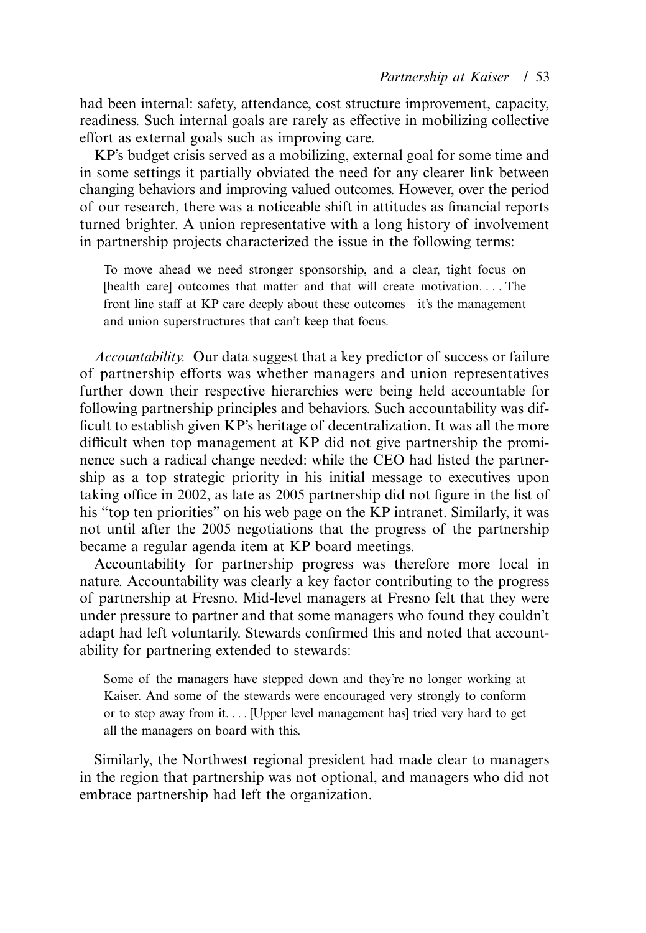had been internal: safety, attendance, cost structure improvement, capacity, readiness. Such internal goals are rarely as effective in mobilizing collective effort as external goals such as improving care.

KP's budget crisis served as a mobilizing, external goal for some time and in some settings it partially obviated the need for any clearer link between changing behaviors and improving valued outcomes. However, over the period of our research, there was a noticeable shift in attitudes as financial reports turned brighter. A union representative with a long history of involvement in partnership projects characterized the issue in the following terms:

To move ahead we need stronger sponsorship, and a clear, tight focus on [health care] outcomes that matter and that will create motivation....The front line staff at KP care deeply about these outcomes—it's the management and union superstructures that can't keep that focus.

*Accountability.* Our data suggest that a key predictor of success or failure of partnership efforts was whether managers and union representatives further down their respective hierarchies were being held accountable for following partnership principles and behaviors. Such accountability was difficult to establish given KP's heritage of decentralization. It was all the more difficult when top management at KP did not give partnership the prominence such a radical change needed: while the CEO had listed the partnership as a top strategic priority in his initial message to executives upon taking office in 2002, as late as 2005 partnership did not figure in the list of his "top ten priorities" on his web page on the KP intranet. Similarly, it was not until after the 2005 negotiations that the progress of the partnership became a regular agenda item at KP board meetings.

Accountability for partnership progress was therefore more local in nature. Accountability was clearly a key factor contributing to the progress of partnership at Fresno. Mid-level managers at Fresno felt that they were under pressure to partner and that some managers who found they couldn't adapt had left voluntarily. Stewards confirmed this and noted that accountability for partnering extended to stewards:

Some of the managers have stepped down and they're no longer working at Kaiser. And some of the stewards were encouraged very strongly to conform or to step away from it. . . . [Upper level management has] tried very hard to get all the managers on board with this.

Similarly, the Northwest regional president had made clear to managers in the region that partnership was not optional, and managers who did not embrace partnership had left the organization.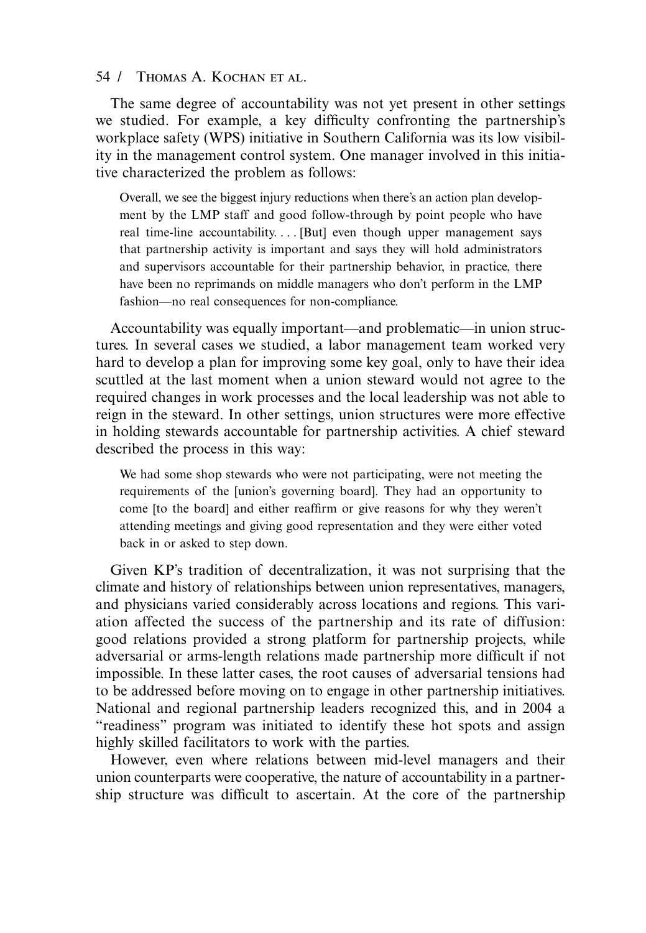The same degree of accountability was not yet present in other settings we studied. For example, a key difficulty confronting the partnership's workplace safety (WPS) initiative in Southern California was its low visibility in the management control system. One manager involved in this initiative characterized the problem as follows:

Overall, we see the biggest injury reductions when there's an action plan development by the LMP staff and good follow-through by point people who have real time-line accountability. . . . [But] even though upper management says that partnership activity is important and says they will hold administrators and supervisors accountable for their partnership behavior, in practice, there have been no reprimands on middle managers who don't perform in the LMP fashion—no real consequences for non-compliance.

Accountability was equally important—and problematic—in union structures. In several cases we studied, a labor management team worked very hard to develop a plan for improving some key goal, only to have their idea scuttled at the last moment when a union steward would not agree to the required changes in work processes and the local leadership was not able to reign in the steward. In other settings, union structures were more effective in holding stewards accountable for partnership activities. A chief steward described the process in this way:

We had some shop stewards who were not participating, were not meeting the requirements of the [union's governing board]. They had an opportunity to come [to the board] and either reaffirm or give reasons for why they weren't attending meetings and giving good representation and they were either voted back in or asked to step down.

Given KP's tradition of decentralization, it was not surprising that the climate and history of relationships between union representatives, managers, and physicians varied considerably across locations and regions. This variation affected the success of the partnership and its rate of diffusion: good relations provided a strong platform for partnership projects, while adversarial or arms-length relations made partnership more difficult if not impossible. In these latter cases, the root causes of adversarial tensions had to be addressed before moving on to engage in other partnership initiatives. National and regional partnership leaders recognized this, and in 2004 a "readiness" program was initiated to identify these hot spots and assign highly skilled facilitators to work with the parties.

However, even where relations between mid-level managers and their union counterparts were cooperative, the nature of accountability in a partnership structure was difficult to ascertain. At the core of the partnership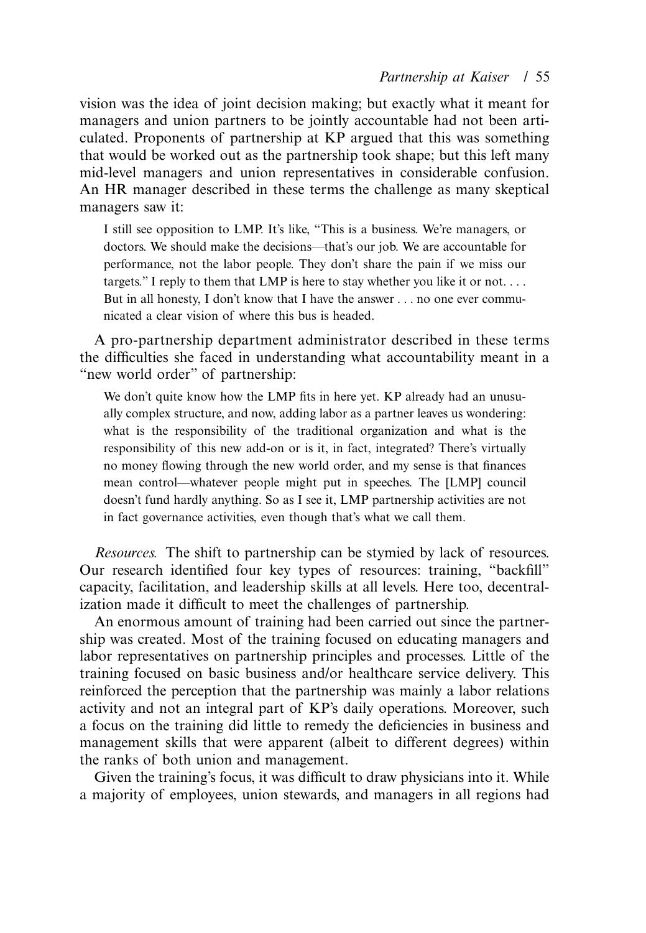vision was the idea of joint decision making; but exactly what it meant for managers and union partners to be jointly accountable had not been articulated. Proponents of partnership at KP argued that this was something that would be worked out as the partnership took shape; but this left many mid-level managers and union representatives in considerable confusion. An HR manager described in these terms the challenge as many skeptical managers saw it:

I still see opposition to LMP. It's like, "This is a business. We're managers, or doctors. We should make the decisions—that's our job. We are accountable for performance, not the labor people. They don't share the pain if we miss our targets." I reply to them that LMP is here to stay whether you like it or not. . . . But in all honesty, I don't know that I have the answer . . . no one ever communicated a clear vision of where this bus is headed.

A pro-partnership department administrator described in these terms the difficulties she faced in understanding what accountability meant in a "new world order" of partnership:

We don't quite know how the LMP fits in here yet. KP already had an unusually complex structure, and now, adding labor as a partner leaves us wondering: what is the responsibility of the traditional organization and what is the responsibility of this new add-on or is it, in fact, integrated? There's virtually no money flowing through the new world order, and my sense is that finances mean control—whatever people might put in speeches. The [LMP] council doesn't fund hardly anything. So as I see it, LMP partnership activities are not in fact governance activities, even though that's what we call them.

*Resources.* The shift to partnership can be stymied by lack of resources. Our research identified four key types of resources: training, "backfill" capacity, facilitation, and leadership skills at all levels. Here too, decentralization made it difficult to meet the challenges of partnership.

An enormous amount of training had been carried out since the partnership was created. Most of the training focused on educating managers and labor representatives on partnership principles and processes. Little of the training focused on basic business and/or healthcare service delivery. This reinforced the perception that the partnership was mainly a labor relations activity and not an integral part of KP's daily operations. Moreover, such a focus on the training did little to remedy the deficiencies in business and management skills that were apparent (albeit to different degrees) within the ranks of both union and management.

Given the training's focus, it was difficult to draw physicians into it. While a majority of employees, union stewards, and managers in all regions had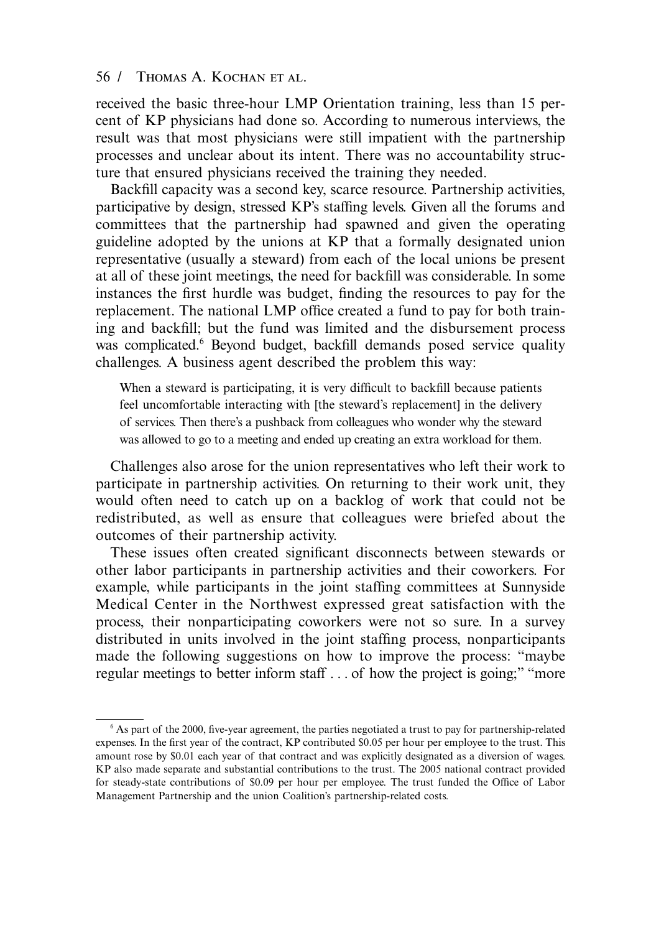received the basic three-hour LMP Orientation training, less than 15 percent of KP physicians had done so. According to numerous interviews, the result was that most physicians were still impatient with the partnership processes and unclear about its intent. There was no accountability structure that ensured physicians received the training they needed.

Backfill capacity was a second key, scarce resource. Partnership activities, participative by design, stressed KP's staffing levels. Given all the forums and committees that the partnership had spawned and given the operating guideline adopted by the unions at KP that a formally designated union representative (usually a steward) from each of the local unions be present at all of these joint meetings, the need for backfill was considerable. In some instances the first hurdle was budget, finding the resources to pay for the replacement. The national LMP office created a fund to pay for both training and backfill; but the fund was limited and the disbursement process was complicated.<sup>6</sup> Beyond budget, backfill demands posed service quality challenges. A business agent described the problem this way:

When a steward is participating, it is very difficult to backfill because patients feel uncomfortable interacting with [the steward's replacement] in the delivery of services. Then there's a pushback from colleagues who wonder why the steward was allowed to go to a meeting and ended up creating an extra workload for them.

Challenges also arose for the union representatives who left their work to participate in partnership activities. On returning to their work unit, they would often need to catch up on a backlog of work that could not be redistributed, as well as ensure that colleagues were briefed about the outcomes of their partnership activity.

These issues often created significant disconnects between stewards or other labor participants in partnership activities and their coworkers. For example, while participants in the joint staffing committees at Sunnyside Medical Center in the Northwest expressed great satisfaction with the process, their nonparticipating coworkers were not so sure. In a survey distributed in units involved in the joint staffing process, nonparticipants made the following suggestions on how to improve the process: "maybe regular meetings to better inform staff . . . of how the project is going;" "more

<sup>&</sup>lt;sup>6</sup> As part of the 2000, five-year agreement, the parties negotiated a trust to pay for partnership-related expenses. In the first year of the contract, KP contributed \$0.05 per hour per employee to the trust. This amount rose by \$0.01 each year of that contract and was explicitly designated as a diversion of wages. KP also made separate and substantial contributions to the trust. The 2005 national contract provided for steady-state contributions of \$0.09 per hour per employee. The trust funded the Office of Labor Management Partnership and the union Coalition's partnership-related costs.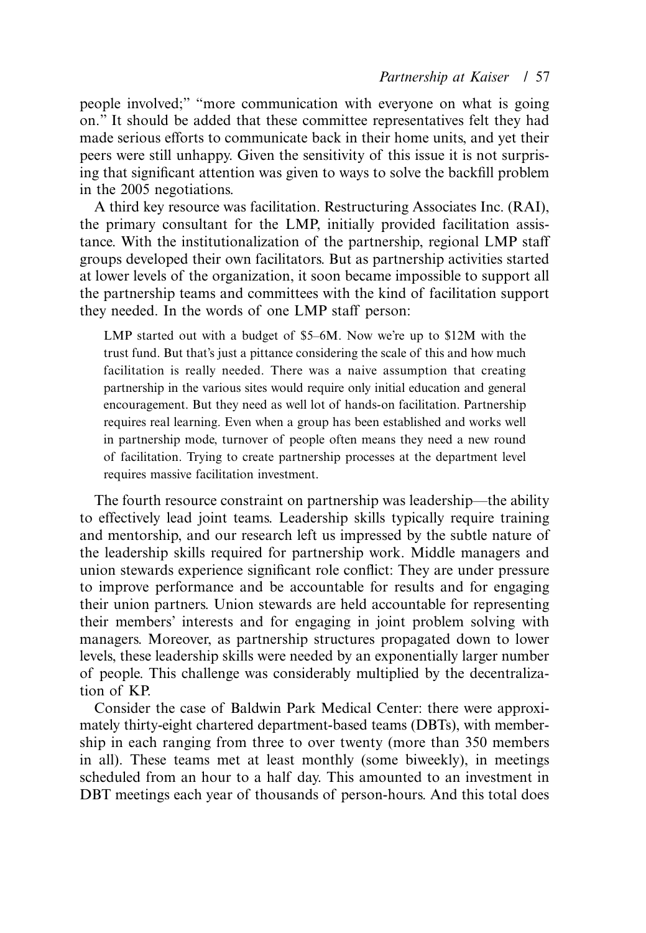people involved;" "more communication with everyone on what is going on." It should be added that these committee representatives felt they had made serious efforts to communicate back in their home units, and yet their peers were still unhappy. Given the sensitivity of this issue it is not surprising that significant attention was given to ways to solve the backfill problem in the 2005 negotiations.

A third key resource was facilitation. Restructuring Associates Inc. (RAI), the primary consultant for the LMP, initially provided facilitation assistance. With the institutionalization of the partnership, regional LMP staff groups developed their own facilitators. But as partnership activities started at lower levels of the organization, it soon became impossible to support all the partnership teams and committees with the kind of facilitation support they needed. In the words of one LMP staff person:

LMP started out with a budget of \$5–6M. Now we're up to \$12M with the trust fund. But that's just a pittance considering the scale of this and how much facilitation is really needed. There was a naive assumption that creating partnership in the various sites would require only initial education and general encouragement. But they need as well lot of hands-on facilitation. Partnership requires real learning. Even when a group has been established and works well in partnership mode, turnover of people often means they need a new round of facilitation. Trying to create partnership processes at the department level requires massive facilitation investment.

The fourth resource constraint on partnership was leadership—the ability to effectively lead joint teams. Leadership skills typically require training and mentorship, and our research left us impressed by the subtle nature of the leadership skills required for partnership work. Middle managers and union stewards experience significant role conflict: They are under pressure to improve performance and be accountable for results and for engaging their union partners. Union stewards are held accountable for representing their members' interests and for engaging in joint problem solving with managers. Moreover, as partnership structures propagated down to lower levels, these leadership skills were needed by an exponentially larger number of people. This challenge was considerably multiplied by the decentralization of KP.

Consider the case of Baldwin Park Medical Center: there were approximately thirty-eight chartered department-based teams (DBTs), with membership in each ranging from three to over twenty (more than 350 members in all). These teams met at least monthly (some biweekly), in meetings scheduled from an hour to a half day. This amounted to an investment in DBT meetings each year of thousands of person-hours. And this total does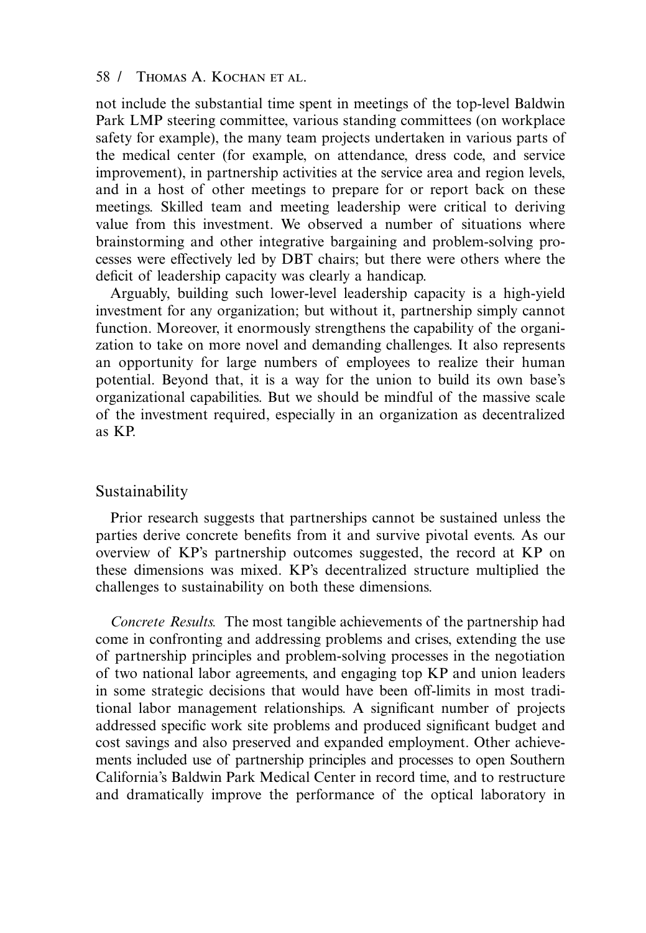not include the substantial time spent in meetings of the top-level Baldwin Park LMP steering committee, various standing committees (on workplace safety for example), the many team projects undertaken in various parts of the medical center (for example, on attendance, dress code, and service improvement), in partnership activities at the service area and region levels, and in a host of other meetings to prepare for or report back on these meetings. Skilled team and meeting leadership were critical to deriving value from this investment. We observed a number of situations where brainstorming and other integrative bargaining and problem-solving processes were effectively led by DBT chairs; but there were others where the deficit of leadership capacity was clearly a handicap.

Arguably, building such lower-level leadership capacity is a high-yield investment for any organization; but without it, partnership simply cannot function. Moreover, it enormously strengthens the capability of the organization to take on more novel and demanding challenges. It also represents an opportunity for large numbers of employees to realize their human potential. Beyond that, it is a way for the union to build its own base's organizational capabilities. But we should be mindful of the massive scale of the investment required, especially in an organization as decentralized as KP.

# Sustainability

Prior research suggests that partnerships cannot be sustained unless the parties derive concrete benefits from it and survive pivotal events. As our overview of KP's partnership outcomes suggested, the record at KP on these dimensions was mixed. KP's decentralized structure multiplied the challenges to sustainability on both these dimensions.

*Concrete Results.* The most tangible achievements of the partnership had come in confronting and addressing problems and crises, extending the use of partnership principles and problem-solving processes in the negotiation of two national labor agreements, and engaging top KP and union leaders in some strategic decisions that would have been off-limits in most traditional labor management relationships. A significant number of projects addressed specific work site problems and produced significant budget and cost savings and also preserved and expanded employment. Other achievements included use of partnership principles and processes to open Southern California's Baldwin Park Medical Center in record time, and to restructure and dramatically improve the performance of the optical laboratory in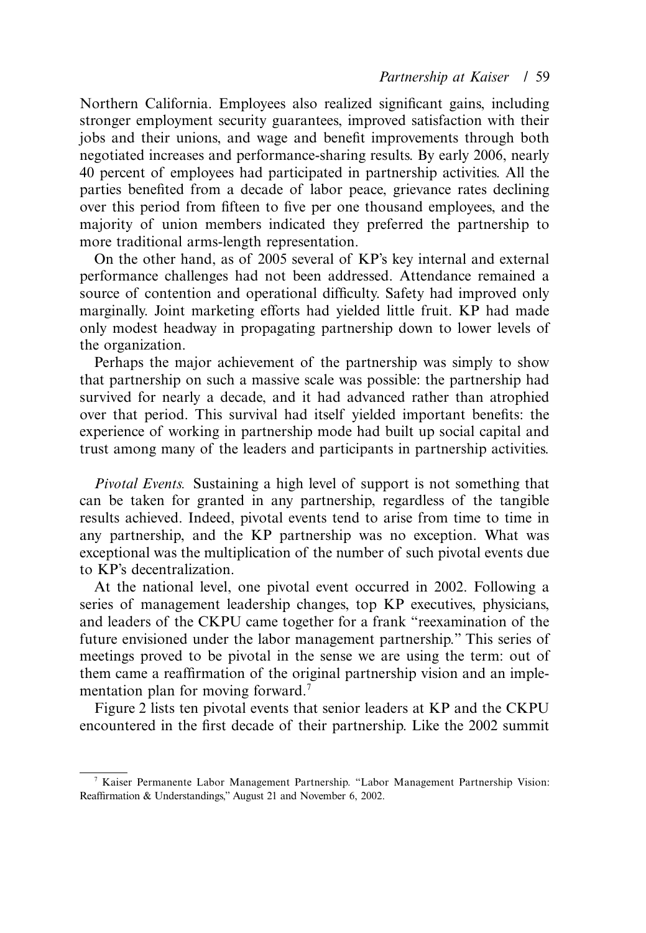Northern California. Employees also realized significant gains, including stronger employment security guarantees, improved satisfaction with their jobs and their unions, and wage and benefit improvements through both negotiated increases and performance-sharing results. By early 2006, nearly 40 percent of employees had participated in partnership activities. All the parties benefited from a decade of labor peace, grievance rates declining over this period from fifteen to five per one thousand employees, and the majority of union members indicated they preferred the partnership to more traditional arms-length representation.

On the other hand, as of 2005 several of KP's key internal and external performance challenges had not been addressed. Attendance remained a source of contention and operational difficulty. Safety had improved only marginally. Joint marketing efforts had yielded little fruit. KP had made only modest headway in propagating partnership down to lower levels of the organization.

Perhaps the major achievement of the partnership was simply to show that partnership on such a massive scale was possible: the partnership had survived for nearly a decade, and it had advanced rather than atrophied over that period. This survival had itself yielded important benefits: the experience of working in partnership mode had built up social capital and trust among many of the leaders and participants in partnership activities.

*Pivotal Events.* Sustaining a high level of support is not something that can be taken for granted in any partnership, regardless of the tangible results achieved. Indeed, pivotal events tend to arise from time to time in any partnership, and the KP partnership was no exception. What was exceptional was the multiplication of the number of such pivotal events due to KP's decentralization.

At the national level, one pivotal event occurred in 2002. Following a series of management leadership changes, top KP executives, physicians, and leaders of the CKPU came together for a frank "reexamination of the future envisioned under the labor management partnership." This series of meetings proved to be pivotal in the sense we are using the term: out of them came a reaffirmation of the original partnership vision and an implementation plan for moving forward.<sup>7</sup>

Figure 2 lists ten pivotal events that senior leaders at KP and the CKPU encountered in the first decade of their partnership. Like the 2002 summit

<sup>7</sup> Kaiser Permanente Labor Management Partnership. "Labor Management Partnership Vision: Reaffirmation & Understandings," August 21 and November 6, 2002.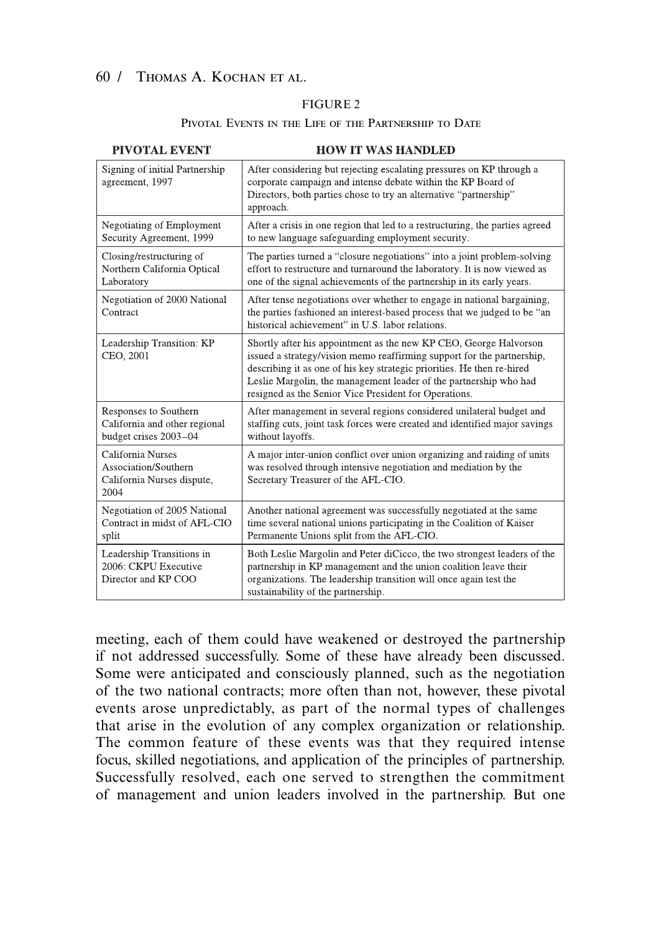<u>a and a and a straightful and a</u>

#### FIGURE 2

#### PIVOTAL EVENTS IN THE LIFE OF THE PARTNERSHIP TO DATE

<u>and the company of the set of the </u>

| PIVOTAL EVENT                                                                   | HOW IT WAS HANDLED                                                                                                                                                                                                                                                                                                                                  |
|---------------------------------------------------------------------------------|-----------------------------------------------------------------------------------------------------------------------------------------------------------------------------------------------------------------------------------------------------------------------------------------------------------------------------------------------------|
| Signing of initial Partnership<br>agreement, 1997                               | After considering but rejecting escalating pressures on KP through a<br>corporate campaign and intense debate within the KP Board of<br>Directors, both parties chose to try an alternative "partnership"<br>approach.                                                                                                                              |
| Negotiating of Employment<br>Security Agreement, 1999                           | After a crisis in one region that led to a restructuring, the parties agreed<br>to new language safeguarding employment security.                                                                                                                                                                                                                   |
| Closing/restructuring of<br>Northern California Optical<br>Laboratory           | The parties turned a "closure negotiations" into a joint problem-solving<br>effort to restructure and turnaround the laboratory. It is now viewed as<br>one of the signal achievements of the partnership in its early years.                                                                                                                       |
| Negotiation of 2000 National<br>Contract                                        | After tense negotiations over whether to engage in national bargaining,<br>the parties fashioned an interest-based process that we judged to be "an<br>historical achievement" in U.S. labor relations.                                                                                                                                             |
| Leadership Transition: KP<br>CEO, 2001                                          | Shortly after his appointment as the new KP CEO, George Halvorson<br>issued a strategy/vision memo reaffirming support for the partnership,<br>describing it as one of his key strategic priorities. He then re-hired<br>Leslie Margolin, the management leader of the partnership who had<br>resigned as the Senior Vice President for Operations. |
| Responses to Southern<br>California and other regional<br>budget crises 2003-04 | After management in several regions considered unilateral budget and<br>staffing cuts, joint task forces were created and identified major savings<br>without layoffs.                                                                                                                                                                              |
| California Nurses<br>Association/Southern<br>California Nurses dispute,<br>2004 | A major inter-union conflict over union organizing and raiding of units<br>was resolved through intensive negotiation and mediation by the<br>Secretary Treasurer of the AFL-CIO.                                                                                                                                                                   |
| Negotiation of 2005 National<br>Contract in midst of AFL-CIO<br>split           | Another national agreement was successfully negotiated at the same<br>time several national unions participating in the Coalition of Kaiser<br>Permanente Unions split from the AFL-CIO.                                                                                                                                                            |
| Leadership Transitions in<br>2006: CKPU Executive<br>Director and KP COO        | Both Leslie Margolin and Peter diCicco, the two strongest leaders of the<br>partnership in KP management and the union coalition leave their<br>organizations. The leadership transition will once again test the<br>sustainability of the partnership.                                                                                             |

meeting, each of them could have weakened or destroyed the partnership if not addressed successfully. Some of these have already been discussed. Some were anticipated and consciously planned, such as the negotiation of the two national contracts; more often than not, however, these pivotal events arose unpredictably, as part of the normal types of challenges that arise in the evolution of any complex organization or relationship. The common feature of these events was that they required intense focus, skilled negotiations, and application of the principles of partnership. Successfully resolved, each one served to strengthen the commitment of management and union leaders involved in the partnership. But one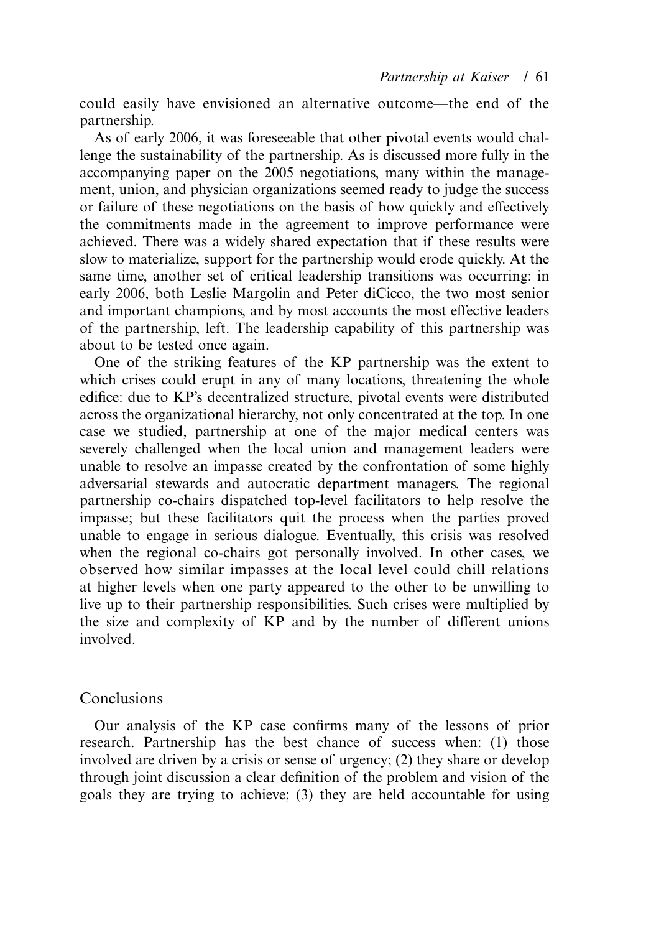could easily have envisioned an alternative outcome—the end of the partnership.

As of early 2006, it was foreseeable that other pivotal events would challenge the sustainability of the partnership. As is discussed more fully in the accompanying paper on the 2005 negotiations, many within the management, union, and physician organizations seemed ready to judge the success or failure of these negotiations on the basis of how quickly and effectively the commitments made in the agreement to improve performance were achieved. There was a widely shared expectation that if these results were slow to materialize, support for the partnership would erode quickly. At the same time, another set of critical leadership transitions was occurring: in early 2006, both Leslie Margolin and Peter diCicco, the two most senior and important champions, and by most accounts the most effective leaders of the partnership, left. The leadership capability of this partnership was about to be tested once again.

One of the striking features of the KP partnership was the extent to which crises could erupt in any of many locations, threatening the whole edifice: due to KP's decentralized structure, pivotal events were distributed across the organizational hierarchy, not only concentrated at the top. In one case we studied, partnership at one of the major medical centers was severely challenged when the local union and management leaders were unable to resolve an impasse created by the confrontation of some highly adversarial stewards and autocratic department managers. The regional partnership co-chairs dispatched top-level facilitators to help resolve the impasse; but these facilitators quit the process when the parties proved unable to engage in serious dialogue. Eventually, this crisis was resolved when the regional co-chairs got personally involved. In other cases, we observed how similar impasses at the local level could chill relations at higher levels when one party appeared to the other to be unwilling to live up to their partnership responsibilities. Such crises were multiplied by the size and complexity of KP and by the number of different unions involved.

## Conclusions

Our analysis of the KP case confirms many of the lessons of prior research. Partnership has the best chance of success when: (1) those involved are driven by a crisis or sense of urgency; (2) they share or develop through joint discussion a clear definition of the problem and vision of the goals they are trying to achieve; (3) they are held accountable for using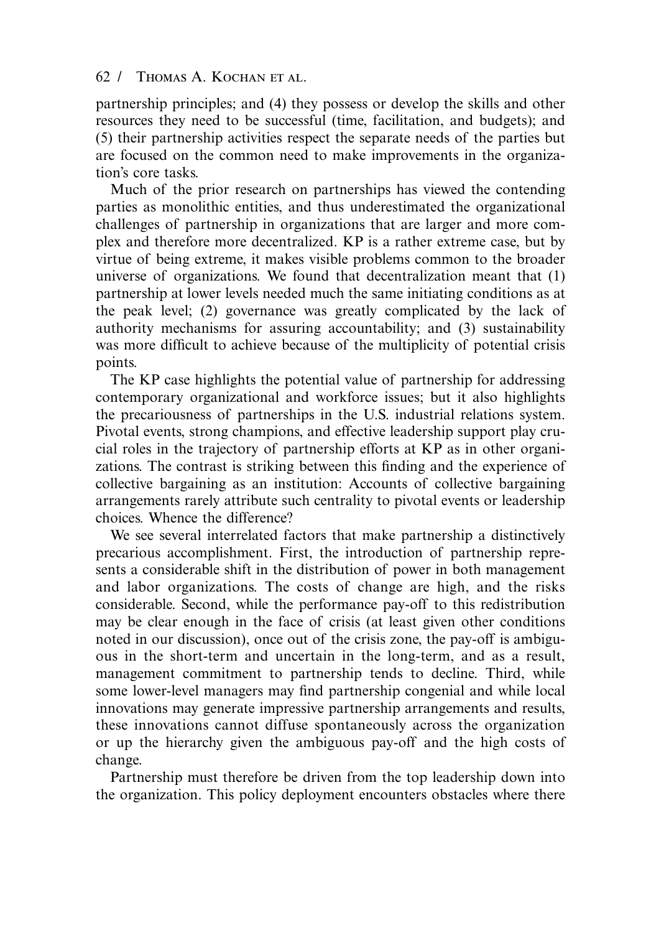partnership principles; and (4) they possess or develop the skills and other resources they need to be successful (time, facilitation, and budgets); and (5) their partnership activities respect the separate needs of the parties but are focused on the common need to make improvements in the organization's core tasks.

Much of the prior research on partnerships has viewed the contending parties as monolithic entities, and thus underestimated the organizational challenges of partnership in organizations that are larger and more complex and therefore more decentralized. KP is a rather extreme case, but by virtue of being extreme, it makes visible problems common to the broader universe of organizations. We found that decentralization meant that (1) partnership at lower levels needed much the same initiating conditions as at the peak level; (2) governance was greatly complicated by the lack of authority mechanisms for assuring accountability; and (3) sustainability was more difficult to achieve because of the multiplicity of potential crisis points.

The KP case highlights the potential value of partnership for addressing contemporary organizational and workforce issues; but it also highlights the precariousness of partnerships in the U.S. industrial relations system. Pivotal events, strong champions, and effective leadership support play crucial roles in the trajectory of partnership efforts at KP as in other organizations. The contrast is striking between this finding and the experience of collective bargaining as an institution: Accounts of collective bargaining arrangements rarely attribute such centrality to pivotal events or leadership choices. Whence the difference?

We see several interrelated factors that make partnership a distinctively precarious accomplishment. First, the introduction of partnership represents a considerable shift in the distribution of power in both management and labor organizations. The costs of change are high, and the risks considerable. Second, while the performance pay-off to this redistribution may be clear enough in the face of crisis (at least given other conditions noted in our discussion), once out of the crisis zone, the pay-off is ambiguous in the short-term and uncertain in the long-term, and as a result, management commitment to partnership tends to decline. Third, while some lower-level managers may find partnership congenial and while local innovations may generate impressive partnership arrangements and results, these innovations cannot diffuse spontaneously across the organization or up the hierarchy given the ambiguous pay-off and the high costs of change.

Partnership must therefore be driven from the top leadership down into the organization. This policy deployment encounters obstacles where there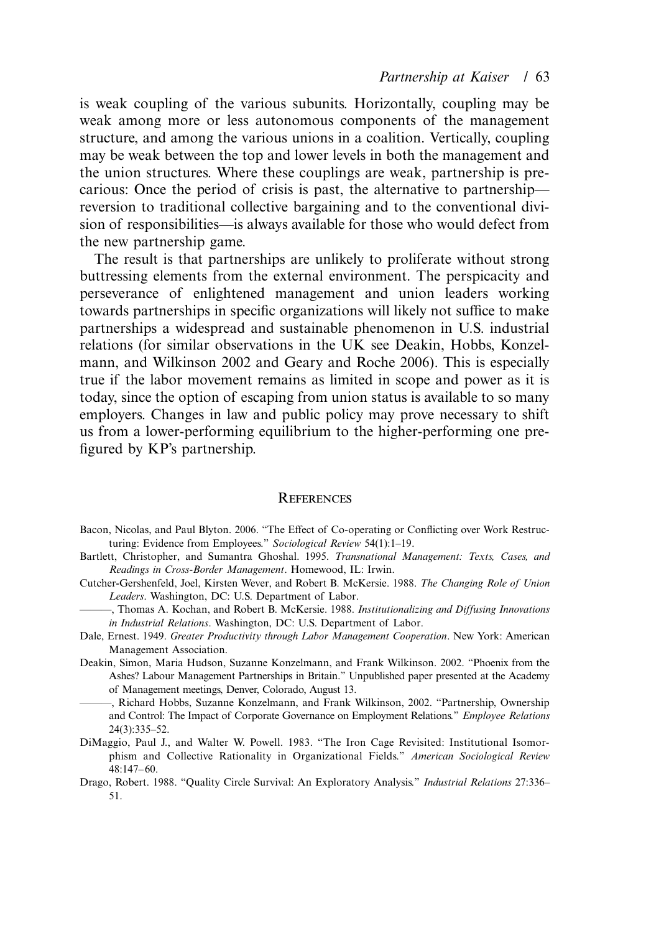is weak coupling of the various subunits. Horizontally, coupling may be weak among more or less autonomous components of the management structure, and among the various unions in a coalition. Vertically, coupling may be weak between the top and lower levels in both the management and the union structures. Where these couplings are weak, partnership is precarious: Once the period of crisis is past, the alternative to partnership reversion to traditional collective bargaining and to the conventional division of responsibilities—is always available for those who would defect from the new partnership game.

The result is that partnerships are unlikely to proliferate without strong buttressing elements from the external environment. The perspicacity and perseverance of enlightened management and union leaders working towards partnerships in specific organizations will likely not suffice to make partnerships a widespread and sustainable phenomenon in U.S. industrial relations (for similar observations in the UK see Deakin, Hobbs, Konzelmann, and Wilkinson 2002 and Geary and Roche 2006). This is especially true if the labor movement remains as limited in scope and power as it is today, since the option of escaping from union status is available to so many employers. Changes in law and public policy may prove necessary to shift us from a lower-performing equilibrium to the higher-performing one prefigured by KP's partnership.

#### **REFERENCES**

- Bacon, Nicolas, and Paul Blyton. 2006. "The Effect of Co-operating or Conflicting over Work Restructuring: Evidence from Employees." *Sociological Review* 54(1):1–19.
- Bartlett, Christopher, and Sumantra Ghoshal. 1995. *Transnational Management: Texts, Cases, and Readings in Cross-Border Management*. Homewood, IL: Irwin.
- Cutcher-Gershenfeld, Joel, Kirsten Wever, and Robert B. McKersie. 1988. *The Changing Role of Union Leaders*. Washington, DC: U.S. Department of Labor.
	- ———, Thomas A. Kochan, and Robert B. McKersie. 1988. *Institutionalizing and Diffusing Innovations in Industrial Relations*. Washington, DC: U.S. Department of Labor.
- Dale, Ernest. 1949. *Greater Productivity through Labor Management Cooperation*. New York: American Management Association.
- Deakin, Simon, Maria Hudson, Suzanne Konzelmann, and Frank Wilkinson. 2002. "Phoenix from the Ashes? Labour Management Partnerships in Britain." Unpublished paper presented at the Academy of Management meetings, Denver, Colorado, August 13.
- ———, Richard Hobbs, Suzanne Konzelmann, and Frank Wilkinson, 2002. "Partnership, Ownership and Control: The Impact of Corporate Governance on Employment Relations." *Employee Relations* 24(3):335–52.
- DiMaggio, Paul J., and Walter W. Powell. 1983. "The Iron Cage Revisited: Institutional Isomorphism and Collective Rationality in Organizational Fields." *American Sociological Review* 48:147–60.
- Drago, Robert. 1988. "Quality Circle Survival: An Exploratory Analysis." *Industrial Relations* 27:336– 51.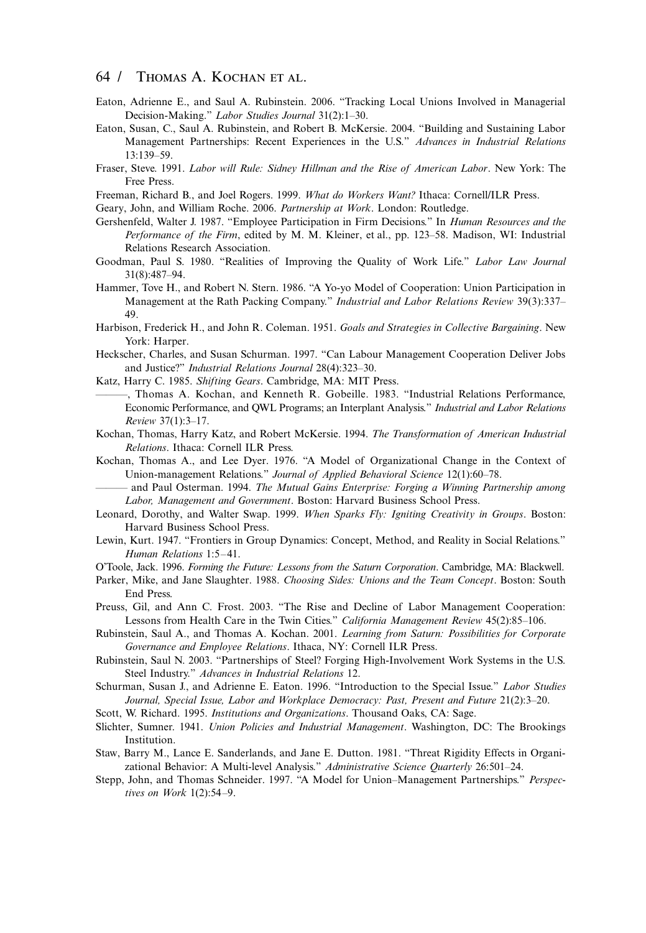- Eaton, Adrienne E., and Saul A. Rubinstein. 2006. "Tracking Local Unions Involved in Managerial Decision-Making." *Labor Studies Journal* 31(2):1–30.
- Eaton, Susan, C., Saul A. Rubinstein, and Robert B. McKersie. 2004. "Building and Sustaining Labor Management Partnerships: Recent Experiences in the U.S." *Advances in Industrial Relations* 13:139–59.
- Fraser, Steve. 1991. *Labor will Rule: Sidney Hillman and the Rise of American Labor*. New York: The Free Press.

Freeman, Richard B., and Joel Rogers. 1999. *What do Workers Want?* Ithaca: Cornell/ILR Press.

Geary, John, and William Roche. 2006. *Partnership at Work*. London: Routledge.

- Gershenfeld, Walter J. 1987. "Employee Participation in Firm Decisions." In *Human Resources and the Performance of the Firm*, edited by M. M. Kleiner, et al., pp. 123–58. Madison, WI: Industrial Relations Research Association.
- Goodman, Paul S. 1980. "Realities of Improving the Quality of Work Life." *Labor Law Journal* 31(8):487–94.
- Hammer, Tove H., and Robert N. Stern. 1986. "A Yo-yo Model of Cooperation: Union Participation in Management at the Rath Packing Company." *Industrial and Labor Relations Review* 39(3):337– 49.
- Harbison, Frederick H., and John R. Coleman. 1951. *Goals and Strategies in Collective Bargaining*. New York: Harper.
- Heckscher, Charles, and Susan Schurman. 1997. "Can Labour Management Cooperation Deliver Jobs and Justice?" *Industrial Relations Journal* 28(4):323–30.
- Katz, Harry C. 1985. *Shifting Gears*. Cambridge, MA: MIT Press.
- ———, Thomas A. Kochan, and Kenneth R. Gobeille. 1983. "Industrial Relations Performance, Economic Performance, and QWL Programs; an Interplant Analysis." *Industrial and Labor Relations Review* 37(1):3–17.
- Kochan, Thomas, Harry Katz, and Robert McKersie. 1994. *The Transformation of American Industrial Relations*. Ithaca: Cornell ILR Press.

Kochan, Thomas A., and Lee Dyer. 1976. "A Model of Organizational Change in the Context of Union-management Relations." *Journal of Applied Behavioral Science* 12(1):60–78.

——— and Paul Osterman. 1994. *The Mutual Gains Enterprise: Forging a Winning Partnership among Labor, Management and Government*. Boston: Harvard Business School Press.

- Leonard, Dorothy, and Walter Swap. 1999. *When Sparks Fly: Igniting Creativity in Groups*. Boston: Harvard Business School Press.
- Lewin, Kurt. 1947. "Frontiers in Group Dynamics: Concept, Method, and Reality in Social Relations." *Human Relations* 1:5–41.

O'Toole, Jack. 1996. *Forming the Future: Lessons from the Saturn Corporation*. Cambridge, MA: Blackwell.

- Parker, Mike, and Jane Slaughter. 1988. *Choosing Sides: Unions and the Team Concept*. Boston: South End Press.
- Preuss, Gil, and Ann C. Frost. 2003. "The Rise and Decline of Labor Management Cooperation: Lessons from Health Care in the Twin Cities." *California Management Review* 45(2):85–106.
- Rubinstein, Saul A., and Thomas A. Kochan. 2001. *Learning from Saturn: Possibilities for Corporate Governance and Employee Relations*. Ithaca, NY: Cornell ILR Press.
- Rubinstein, Saul N. 2003. "Partnerships of Steel? Forging High-Involvement Work Systems in the U.S. Steel Industry." *Advances in Industrial Relations* 12.
- Schurman, Susan J., and Adrienne E. Eaton. 1996. "Introduction to the Special Issue." *Labor Studies Journal, Special Issue, Labor and Workplace Democracy: Past, Present and Future* 21(2):3–20.
- Scott, W. Richard. 1995. *Institutions and Organizations*. Thousand Oaks, CA: Sage.
- Slichter, Sumner. 1941. *Union Policies and Industrial Management*. Washington, DC: The Brookings Institution.
- Staw, Barry M., Lance E. Sanderlands, and Jane E. Dutton. 1981. "Threat Rigidity Effects in Organizational Behavior: A Multi-level Analysis." *Administrative Science Quarterly* 26:501–24.
- Stepp, John, and Thomas Schneider. 1997. "A Model for Union–Management Partnerships." *Perspectives on Work* 1(2):54–9.